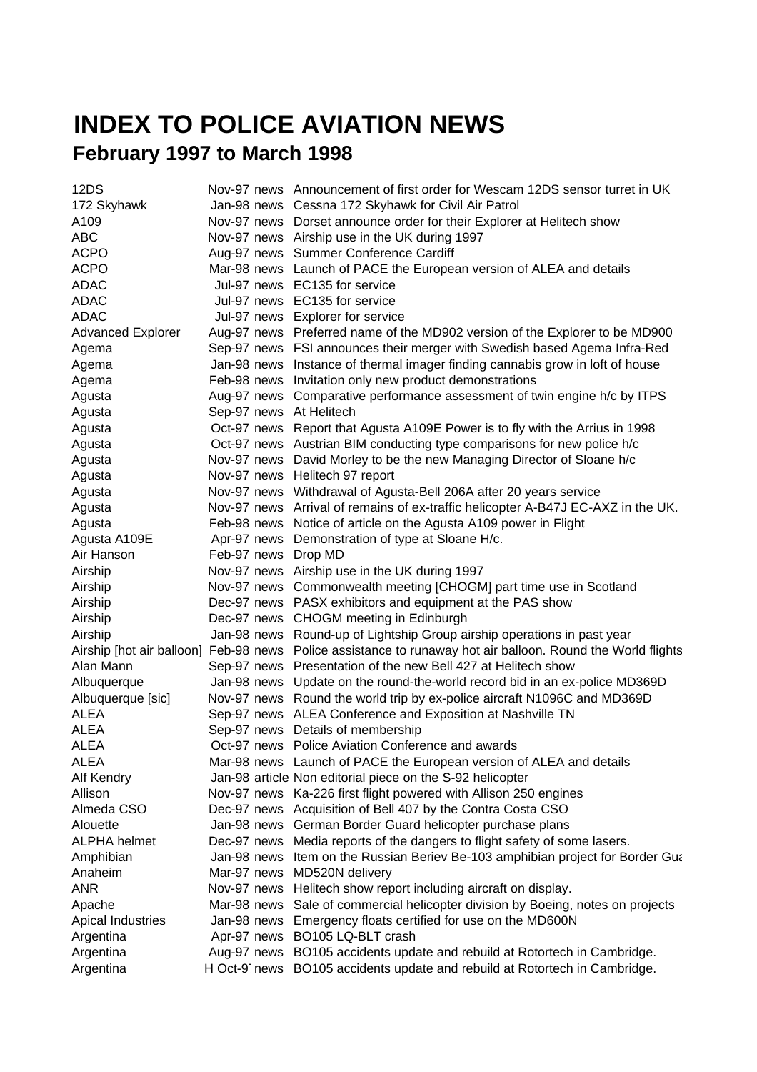## **INDEX TO POLICE AVIATION NEWS February 1997 to March 1998**

| 12DS                                  |              | Nov-97 news Announcement of first order for Wescam 12DS sensor turret in UK      |
|---------------------------------------|--------------|----------------------------------------------------------------------------------|
| 172 Skyhawk                           | Jan-98 news  | Cessna 172 Skyhawk for Civil Air Patrol                                          |
| A109                                  | Nov-97 news  | Dorset announce order for their Explorer at Helitech show                        |
| <b>ABC</b>                            |              | Nov-97 news Airship use in the UK during 1997                                    |
| <b>ACPO</b>                           |              | Aug-97 news Summer Conference Cardiff                                            |
| <b>ACPO</b>                           |              | Mar-98 news Launch of PACE the European version of ALEA and details              |
| <b>ADAC</b>                           |              | Jul-97 news EC135 for service                                                    |
| <b>ADAC</b>                           |              | Jul-97 news EC135 for service                                                    |
| <b>ADAC</b>                           |              | Jul-97 news Explorer for service                                                 |
| <b>Advanced Explorer</b>              |              | Aug-97 news Preferred name of the MD902 version of the Explorer to be MD900      |
| Agema                                 |              | Sep-97 news FSI announces their merger with Swedish based Agema Infra-Red        |
| Agema                                 |              | Jan-98 news Instance of thermal imager finding cannabis grow in loft of house    |
| Agema                                 | Feb-98 news  | Invitation only new product demonstrations                                       |
| Agusta                                | Aug-97 news  | Comparative performance assessment of twin engine h/c by ITPS                    |
| Agusta                                | Sep-97 news  | At Helitech                                                                      |
| Agusta                                | Oct-97 news  | Report that Agusta A109E Power is to fly with the Arrius in 1998                 |
| Agusta                                | Oct-97 news  | Austrian BIM conducting type comparisons for new police h/c                      |
| Agusta                                | Nov-97 news  | David Morley to be the new Managing Director of Sloane h/c                       |
| Agusta                                |              | Nov-97 news Helitech 97 report                                                   |
| Agusta                                |              | Nov-97 news Withdrawal of Agusta-Bell 206A after 20 years service                |
| Agusta                                |              | Nov-97 news Arrival of remains of ex-traffic helicopter A-B47J EC-AXZ in the UK. |
| Agusta                                |              | Feb-98 news Notice of article on the Agusta A109 power in Flight                 |
| Agusta A109E                          | Apr-97 news  | Demonstration of type at Sloane H/c.                                             |
| Air Hanson                            | Feb-97 news  | Drop MD                                                                          |
| Airship                               | Nov-97 news  | Airship use in the UK during 1997                                                |
| Airship                               | Nov-97 news  | Commonwealth meeting [CHOGM] part time use in Scotland                           |
| Airship                               | Dec-97 news  | PASX exhibitors and equipment at the PAS show                                    |
| Airship                               | Dec-97 news  | CHOGM meeting in Edinburgh                                                       |
| Airship                               | Jan-98 news  | Round-up of Lightship Group airship operations in past year                      |
| Airship [hot air balloon] Feb-98 news |              | Police assistance to runaway hot air balloon. Round the World flights            |
| Alan Mann                             |              | Sep-97 news Presentation of the new Bell 427 at Helitech show                    |
| Albuquerque                           | Jan-98 news  | Update on the round-the-world record bid in an ex-police MD369D                  |
| Albuquerque [sic]                     |              | Nov-97 news Round the world trip by ex-police aircraft N1096C and MD369D         |
| <b>ALEA</b>                           |              | Sep-97 news ALEA Conference and Exposition at Nashville TN                       |
| <b>ALEA</b>                           |              | Sep-97 news Details of membership                                                |
| <b>ALEA</b>                           |              | Oct-97 news Police Aviation Conference and awards                                |
| <b>ALEA</b>                           |              | Mar-98 news Launch of PACE the European version of ALEA and details              |
| Alf Kendry                            |              | Jan-98 article Non editorial piece on the S-92 helicopter                        |
| Allison                               |              | Nov-97 news Ka-226 first flight powered with Allison 250 engines                 |
| Almeda CSO                            |              | Dec-97 news Acquisition of Bell 407 by the Contra Costa CSO                      |
| Alouette                              |              | Jan-98 news German Border Guard helicopter purchase plans                        |
| <b>ALPHA</b> helmet                   | Dec-97 news  | Media reports of the dangers to flight safety of some lasers.                    |
| Amphibian                             | Jan-98 news  | Item on the Russian Beriev Be-103 amphibian project for Border Gua               |
| Anaheim                               | Mar-97 news  | MD520N delivery                                                                  |
| <b>ANR</b>                            |              | Nov-97 news Helitech show report including aircraft on display.                  |
| Apache                                |              | Mar-98 news Sale of commercial helicopter division by Boeing, notes on projects  |
| Apical Industries                     |              | Jan-98 news Emergency floats certified for use on the MD600N                     |
| Argentina                             |              | Apr-97 news BO105 LQ-BLT crash                                                   |
| Argentina                             |              | Aug-97 news BO105 accidents update and rebuild at Rotortech in Cambridge.        |
| Argentina                             | H Oct-9 news | BO105 accidents update and rebuild at Rotortech in Cambridge.                    |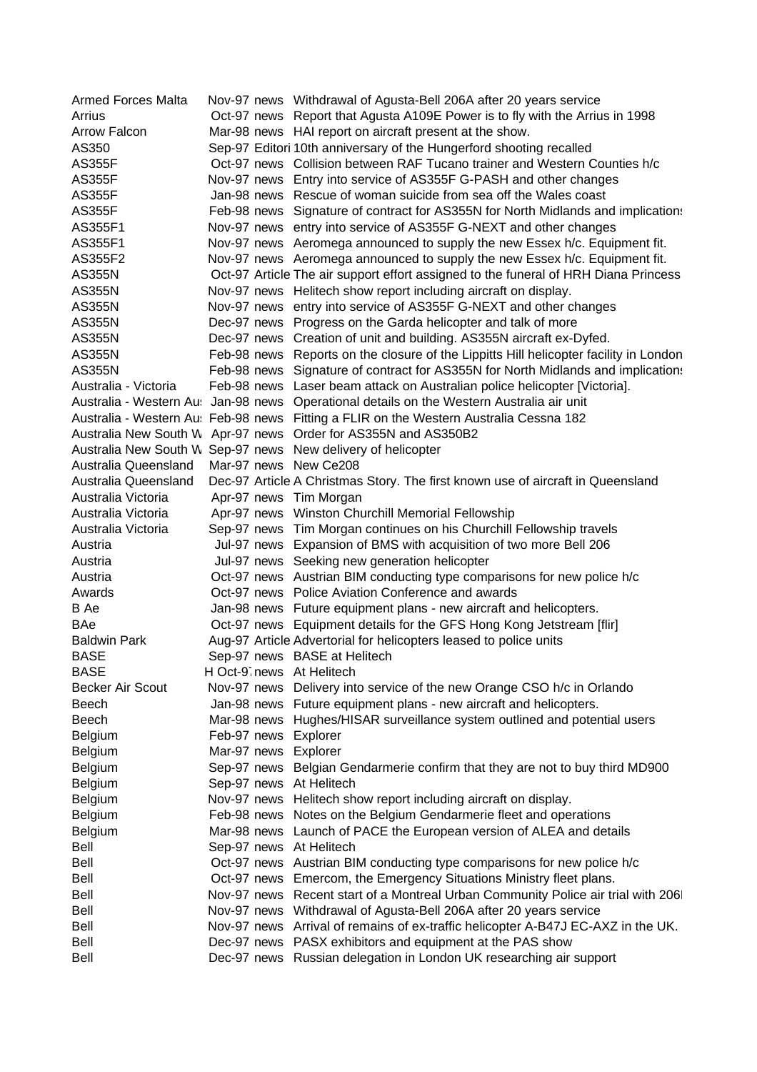| <b>Armed Forces Malta</b> |                          | Nov-97 news Withdrawal of Agusta-Bell 206A after 20 years service                         |
|---------------------------|--------------------------|-------------------------------------------------------------------------------------------|
| Arrius                    |                          | Oct-97 news Report that Agusta A109E Power is to fly with the Arrius in 1998              |
| <b>Arrow Falcon</b>       |                          | Mar-98 news HAI report on aircraft present at the show.                                   |
| AS350                     |                          | Sep-97 Editori 10th anniversary of the Hungerford shooting recalled                       |
| <b>AS355F</b>             |                          | Oct-97 news Collision between RAF Tucano trainer and Western Counties h/c                 |
| <b>AS355F</b>             |                          | Nov-97 news Entry into service of AS355F G-PASH and other changes                         |
| <b>AS355F</b>             |                          | Jan-98 news Rescue of woman suicide from sea off the Wales coast                          |
| <b>AS355F</b>             |                          | Feb-98 news Signature of contract for AS355N for North Midlands and implications          |
| AS355F1                   |                          | Nov-97 news entry into service of AS355F G-NEXT and other changes                         |
| AS355F1                   |                          | Nov-97 news Aeromega announced to supply the new Essex h/c. Equipment fit.                |
| AS355F2                   |                          | Nov-97 news Aeromega announced to supply the new Essex h/c. Equipment fit.                |
| <b>AS355N</b>             |                          | Oct-97 Article The air support effort assigned to the funeral of HRH Diana Princess       |
| <b>AS355N</b>             |                          | Nov-97 news Helitech show report including aircraft on display.                           |
| AS355N                    |                          | Nov-97 news entry into service of AS355F G-NEXT and other changes                         |
| <b>AS355N</b>             |                          | Dec-97 news Progress on the Garda helicopter and talk of more                             |
| <b>AS355N</b>             |                          | Dec-97 news Creation of unit and building. AS355N aircraft ex-Dyfed.                      |
| <b>AS355N</b>             |                          | Feb-98 news Reports on the closure of the Lippitts Hill helicopter facility in London     |
| <b>AS355N</b>             |                          | Feb-98 news Signature of contract for AS355N for North Midlands and implications          |
| Australia - Victoria      |                          | Feb-98 news Laser beam attack on Australian police helicopter [Victoria].                 |
|                           |                          | Australia - Western Au: Jan-98 news Operational details on the Western Australia air unit |
|                           |                          | Australia - Western Au: Feb-98 news Fitting a FLIR on the Western Australia Cessna 182    |
|                           |                          | Australia New South W Apr-97 news Order for AS355N and AS350B2                            |
|                           |                          | Australia New South W Sep-97 news New delivery of helicopter                              |
| Australia Queensland      | Mar-97 news New Ce208    |                                                                                           |
| Australia Queensland      |                          | Dec-97 Article A Christmas Story. The first known use of aircraft in Queensland           |
| Australia Victoria        | Apr-97 news Tim Morgan   |                                                                                           |
| Australia Victoria        |                          | Apr-97 news Winston Churchill Memorial Fellowship                                         |
| Australia Victoria        |                          | Sep-97 news Tim Morgan continues on his Churchill Fellowship travels                      |
| Austria                   |                          | Jul-97 news Expansion of BMS with acquisition of two more Bell 206                        |
| Austria                   |                          | Jul-97 news Seeking new generation helicopter                                             |
| Austria                   |                          | Oct-97 news Austrian BIM conducting type comparisons for new police h/c                   |
| Awards                    |                          | Oct-97 news Police Aviation Conference and awards                                         |
| B Ae                      |                          | Jan-98 news Future equipment plans - new aircraft and helicopters.                        |
| BAe                       |                          | Oct-97 news Equipment details for the GFS Hong Kong Jetstream [flir]                      |
| <b>Baldwin Park</b>       |                          | Aug-97 Article Advertorial for helicopters leased to police units                         |
| <b>BASE</b>               |                          | Sep-97 news BASE at Helitech                                                              |
| <b>BASE</b>               | H Oct-9 news At Helitech |                                                                                           |
| <b>Becker Air Scout</b>   |                          | Nov-97 news Delivery into service of the new Orange CSO h/c in Orlando                    |
| <b>Beech</b>              |                          | Jan-98 news Future equipment plans - new aircraft and helicopters.                        |
| <b>Beech</b>              | Mar-98 news              | Hughes/HISAR surveillance system outlined and potential users                             |
| Belgium                   | Feb-97 news              | Explorer                                                                                  |
| Belgium                   | Mar-97 news Explorer     |                                                                                           |
| Belgium                   |                          | Sep-97 news Belgian Gendarmerie confirm that they are not to buy third MD900              |
| Belgium                   | Sep-97 news At Helitech  |                                                                                           |
| Belgium                   |                          | Nov-97 news Helitech show report including aircraft on display.                           |
| Belgium                   |                          | Feb-98 news Notes on the Belgium Gendarmerie fleet and operations                         |
| Belgium                   |                          | Mar-98 news Launch of PACE the European version of ALEA and details                       |
| <b>Bell</b>               | Sep-97 news At Helitech  |                                                                                           |
| <b>Bell</b>               |                          | Oct-97 news Austrian BIM conducting type comparisons for new police h/c                   |
| Bell                      |                          | Oct-97 news Emercom, the Emergency Situations Ministry fleet plans.                       |
| Bell                      |                          | Nov-97 news Recent start of a Montreal Urban Community Police air trial with 206          |
| Bell                      |                          | Nov-97 news Withdrawal of Agusta-Bell 206A after 20 years service                         |
| Bell                      |                          | Nov-97 news Arrival of remains of ex-traffic helicopter A-B47J EC-AXZ in the UK.          |
| <b>Bell</b>               |                          | Dec-97 news PASX exhibitors and equipment at the PAS show                                 |
| <b>Bell</b>               |                          | Dec-97 news Russian delegation in London UK researching air support                       |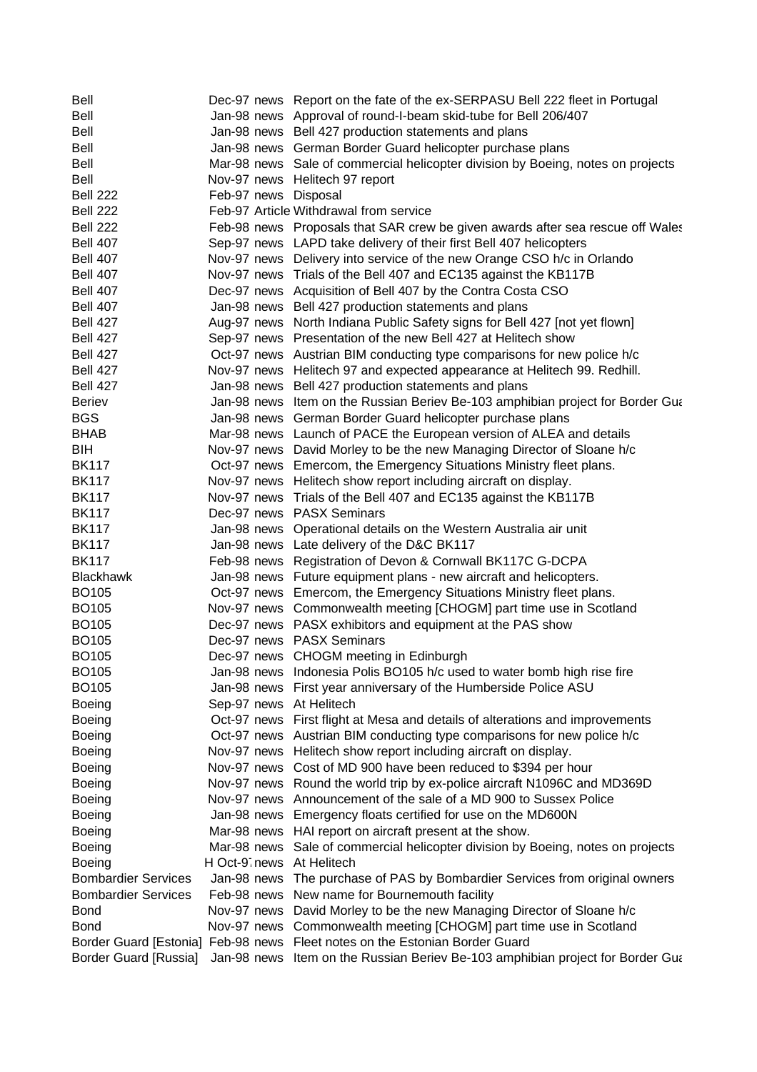| Bell                               |                            | Dec-97 news Report on the fate of the ex-SERPASU Bell 222 fleet in Portugal                                           |
|------------------------------------|----------------------------|-----------------------------------------------------------------------------------------------------------------------|
| Bell                               |                            | Jan-98 news Approval of round-I-beam skid-tube for Bell 206/407                                                       |
| Bell                               |                            | Jan-98 news Bell 427 production statements and plans                                                                  |
| Bell                               |                            | Jan-98 news German Border Guard helicopter purchase plans                                                             |
| Bell                               |                            | Mar-98 news Sale of commercial helicopter division by Boeing, notes on projects                                       |
| Bell                               |                            | Nov-97 news Helitech 97 report                                                                                        |
| <b>Bell 222</b>                    | Feb-97 news Disposal       |                                                                                                                       |
| <b>Bell 222</b>                    |                            | Feb-97 Article Withdrawal from service                                                                                |
| <b>Bell 222</b>                    |                            | Feb-98 news Proposals that SAR crew be given awards after sea rescue off Wales                                        |
| <b>Bell 407</b>                    |                            | Sep-97 news LAPD take delivery of their first Bell 407 helicopters                                                    |
| <b>Bell 407</b>                    |                            | Nov-97 news Delivery into service of the new Orange CSO h/c in Orlando                                                |
| <b>Bell 407</b>                    |                            | Nov-97 news Trials of the Bell 407 and EC135 against the KB117B                                                       |
| <b>Bell 407</b>                    |                            | Dec-97 news Acquisition of Bell 407 by the Contra Costa CSO                                                           |
| <b>Bell 407</b>                    |                            | Jan-98 news Bell 427 production statements and plans                                                                  |
| <b>Bell 427</b>                    |                            | Aug-97 news North Indiana Public Safety signs for Bell 427 [not yet flown]                                            |
| <b>Bell 427</b>                    |                            | Sep-97 news Presentation of the new Bell 427 at Helitech show                                                         |
| <b>Bell 427</b>                    |                            | Oct-97 news Austrian BIM conducting type comparisons for new police h/c                                               |
| <b>Bell 427</b>                    |                            | Nov-97 news Helitech 97 and expected appearance at Helitech 99. Redhill.                                              |
| <b>Bell 427</b>                    |                            | Jan-98 news Bell 427 production statements and plans                                                                  |
| <b>Beriev</b>                      |                            | Jan-98 news Item on the Russian Beriev Be-103 amphibian project for Border Gua                                        |
| <b>BGS</b>                         |                            | Jan-98 news German Border Guard helicopter purchase plans                                                             |
| <b>BHAB</b>                        |                            | Mar-98 news Launch of PACE the European version of ALEA and details                                                   |
| <b>BIH</b>                         |                            | Nov-97 news David Morley to be the new Managing Director of Sloane h/c                                                |
| <b>BK117</b>                       |                            | Oct-97 news Emercom, the Emergency Situations Ministry fleet plans.                                                   |
| <b>BK117</b>                       | Nov-97 news                | Helitech show report including aircraft on display.                                                                   |
| <b>BK117</b>                       |                            | Nov-97 news Trials of the Bell 407 and EC135 against the KB117B                                                       |
| <b>BK117</b>                       |                            | Dec-97 news PASX Seminars                                                                                             |
| <b>BK117</b>                       | Jan-98 news                | Operational details on the Western Australia air unit                                                                 |
| <b>BK117</b>                       | Jan-98 news                | Late delivery of the D&C BK117                                                                                        |
| <b>BK117</b>                       | Feb-98 news                | Registration of Devon & Cornwall BK117C G-DCPA                                                                        |
| <b>Blackhawk</b>                   |                            | Jan-98 news Future equipment plans - new aircraft and helicopters.                                                    |
| <b>BO105</b>                       |                            | Oct-97 news Emercom, the Emergency Situations Ministry fleet plans.                                                   |
| <b>BO105</b>                       |                            | Nov-97 news Commonwealth meeting [CHOGM] part time use in Scotland                                                    |
| <b>BO105</b>                       |                            | Dec-97 news PASX exhibitors and equipment at the PAS show                                                             |
| <b>BO105</b>                       |                            | Dec-97 news PASX Seminars                                                                                             |
| <b>BO105</b>                       |                            | Dec-97 news CHOGM meeting in Edinburgh                                                                                |
| <b>BO105</b>                       |                            |                                                                                                                       |
| <b>BO105</b>                       | Jan-98 news                | Jan-98 news Indonesia Polis BO105 h/c used to water bomb high rise fire                                               |
|                                    |                            | First year anniversary of the Humberside Police ASU<br>At Helitech                                                    |
| <b>Boeing</b>                      | Sep-97 news<br>Oct-97 news |                                                                                                                       |
| <b>Boeing</b>                      |                            | First flight at Mesa and details of alterations and improvements                                                      |
| <b>Boeing</b>                      | Oct-97 news                | Austrian BIM conducting type comparisons for new police h/c                                                           |
| <b>Boeing</b>                      | Nov-97 news                | Helitech show report including aircraft on display.                                                                   |
| Boeing                             | Nov-97 news<br>Nov-97 news | Cost of MD 900 have been reduced to \$394 per hour                                                                    |
| Boeing                             |                            | Round the world trip by ex-police aircraft N1096C and MD369D<br>Announcement of the sale of a MD 900 to Sussex Police |
| <b>Boeing</b>                      | Nov-97 news                |                                                                                                                       |
| Boeing                             |                            | Jan-98 news Emergency floats certified for use on the MD600N                                                          |
| <b>Boeing</b>                      |                            | Mar-98 news HAI report on aircraft present at the show.                                                               |
| <b>Boeing</b>                      | Mar-98 news                | Sale of commercial helicopter division by Boeing, notes on projects                                                   |
| <b>Boeing</b>                      | H Oct-9 news               | At Helitech                                                                                                           |
| <b>Bombardier Services</b>         | Jan-98 news                | The purchase of PAS by Bombardier Services from original owners                                                       |
| <b>Bombardier Services</b>         | Feb-98 news                | New name for Bournemouth facility                                                                                     |
| <b>Bond</b>                        | Nov-97 news                | David Morley to be the new Managing Director of Sloane h/c                                                            |
| <b>Bond</b>                        | Nov-97 news                | Commonwealth meeting [CHOGM] part time use in Scotland                                                                |
| Border Guard [Estonia] Feb-98 news |                            | Fleet notes on the Estonian Border Guard                                                                              |
| Border Guard [Russia]              | Jan-98 news                | Item on the Russian Beriev Be-103 amphibian project for Border Gua                                                    |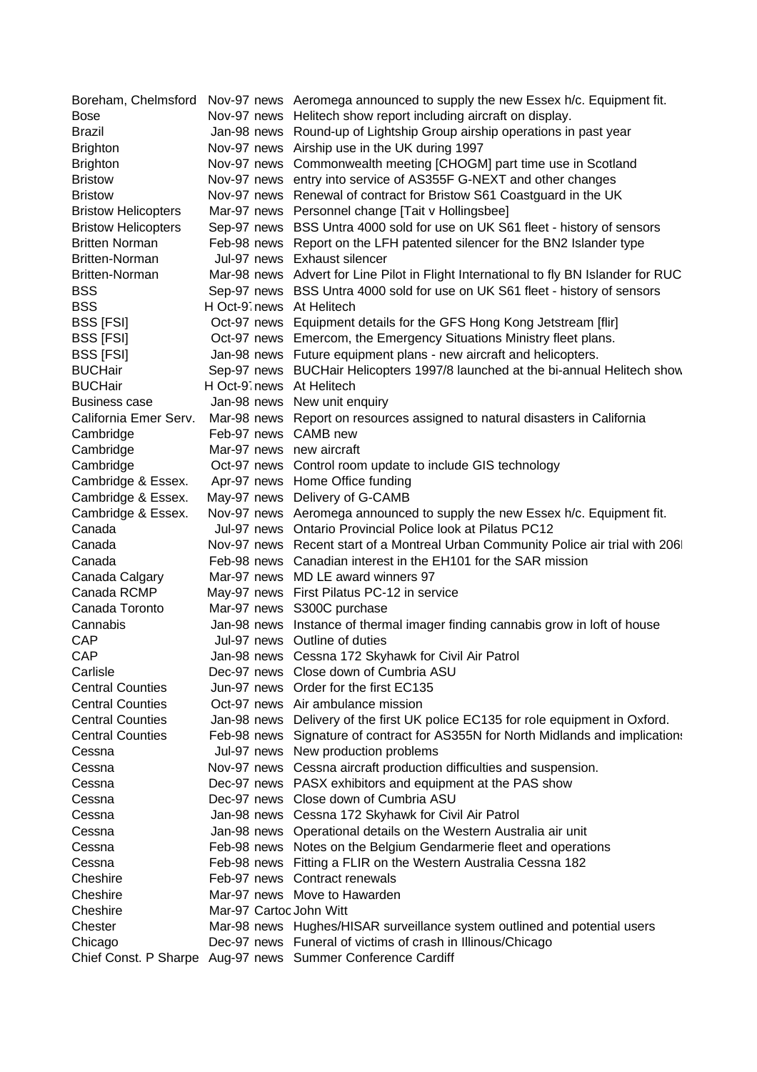| Boreham, Chelmsford        |                           | Nov-97 news Aeromega announced to supply the new Essex h/c. Equipment fit.           |
|----------------------------|---------------------------|--------------------------------------------------------------------------------------|
| <b>Bose</b>                |                           | Nov-97 news Helitech show report including aircraft on display.                      |
| <b>Brazil</b>              |                           | Jan-98 news Round-up of Lightship Group airship operations in past year              |
| <b>Brighton</b>            |                           | Nov-97 news Airship use in the UK during 1997                                        |
| <b>Brighton</b>            |                           | Nov-97 news Commonwealth meeting [CHOGM] part time use in Scotland                   |
| <b>Bristow</b>             |                           | Nov-97 news entry into service of AS355F G-NEXT and other changes                    |
| <b>Bristow</b>             |                           | Nov-97 news Renewal of contract for Bristow S61 Coastguard in the UK                 |
| <b>Bristow Helicopters</b> |                           | Mar-97 news Personnel change [Tait v Hollingsbee]                                    |
| <b>Bristow Helicopters</b> |                           | Sep-97 news BSS Untra 4000 sold for use on UK S61 fleet - history of sensors         |
| <b>Britten Norman</b>      |                           | Feb-98 news Report on the LFH patented silencer for the BN2 Islander type            |
| <b>Britten-Norman</b>      |                           | Jul-97 news Exhaust silencer                                                         |
| <b>Britten-Norman</b>      |                           | Mar-98 news Advert for Line Pilot in Flight International to fly BN Islander for RUC |
| <b>BSS</b>                 |                           | Sep-97 news BSS Untra 4000 sold for use on UK S61 fleet - history of sensors         |
| <b>BSS</b>                 | H Oct-97 news At Helitech |                                                                                      |
| <b>BSS [FSI]</b>           | Oct-97 news               | Equipment details for the GFS Hong Kong Jetstream [flir]                             |
| <b>BSS [FSI]</b>           |                           | Oct-97 news Emercom, the Emergency Situations Ministry fleet plans.                  |
| <b>BSS [FSI]</b>           |                           | Jan-98 news Future equipment plans - new aircraft and helicopters.                   |
| <b>BUCHair</b>             |                           | Sep-97 news BUCHair Helicopters 1997/8 launched at the bi-annual Helitech show       |
| <b>BUCHair</b>             | H Oct-97 news At Helitech |                                                                                      |
| <b>Business case</b>       |                           | Jan-98 news New unit enquiry                                                         |
| California Emer Serv.      |                           | Mar-98 news Report on resources assigned to natural disasters in California          |
| Cambridge                  | Feb-97 news CAMB new      |                                                                                      |
| Cambridge                  | Mar-97 news new aircraft  |                                                                                      |
| Cambridge                  |                           | Oct-97 news Control room update to include GIS technology                            |
| Cambridge & Essex.         |                           | Apr-97 news Home Office funding                                                      |
| Cambridge & Essex.         | May-97 news               | Delivery of G-CAMB                                                                   |
| Cambridge & Essex.         |                           | Nov-97 news Aeromega announced to supply the new Essex h/c. Equipment fit.           |
| Canada                     |                           | Jul-97 news Ontario Provincial Police look at Pilatus PC12                           |
| Canada                     |                           | Nov-97 news Recent start of a Montreal Urban Community Police air trial with 206     |
| Canada                     |                           | Feb-98 news Canadian interest in the EH101 for the SAR mission                       |
| Canada Calgary             |                           | Mar-97 news MD LE award winners 97                                                   |
| Canada RCMP                |                           | May-97 news First Pilatus PC-12 in service                                           |
| Canada Toronto             |                           | Mar-97 news S300C purchase                                                           |
| Cannabis                   |                           | Jan-98 news Instance of thermal imager finding cannabis grow in loft of house        |
| CAP                        |                           | Jul-97 news Outline of duties                                                        |
| CAP                        |                           | Jan-98 news Cessna 172 Skyhawk for Civil Air Patrol                                  |
| Carlisle                   |                           | Dec-97 news Close down of Cumbria ASU                                                |
| <b>Central Counties</b>    |                           | Jun-97 news Order for the first EC135                                                |
| <b>Central Counties</b>    |                           | Oct-97 news Air ambulance mission                                                    |
| <b>Central Counties</b>    |                           | Jan-98 news Delivery of the first UK police EC135 for role equipment in Oxford.      |
| <b>Central Counties</b>    |                           | Feb-98 news Signature of contract for AS355N for North Midlands and implications     |
| Cessna                     |                           | Jul-97 news New production problems                                                  |
| Cessna                     |                           | Nov-97 news Cessna aircraft production difficulties and suspension.                  |
| Cessna                     |                           | Dec-97 news PASX exhibitors and equipment at the PAS show                            |
| Cessna                     |                           | Dec-97 news Close down of Cumbria ASU                                                |
| Cessna                     |                           | Jan-98 news Cessna 172 Skyhawk for Civil Air Patrol                                  |
| Cessna                     |                           | Jan-98 news Operational details on the Western Australia air unit                    |
| Cessna                     |                           | Feb-98 news Notes on the Belgium Gendarmerie fleet and operations                    |
| Cessna                     |                           | Feb-98 news Fitting a FLIR on the Western Australia Cessna 182                       |
| Cheshire                   |                           | Feb-97 news Contract renewals                                                        |
| Cheshire                   |                           | Mar-97 news Move to Hawarden                                                         |
| Cheshire                   | Mar-97 Cartoc John Witt   |                                                                                      |
| Chester                    |                           | Mar-98 news Hughes/HISAR surveillance system outlined and potential users            |
| Chicago                    |                           | Dec-97 news Funeral of victims of crash in Illinous/Chicago                          |
|                            |                           | Chief Const. P Sharpe Aug-97 news Summer Conference Cardiff                          |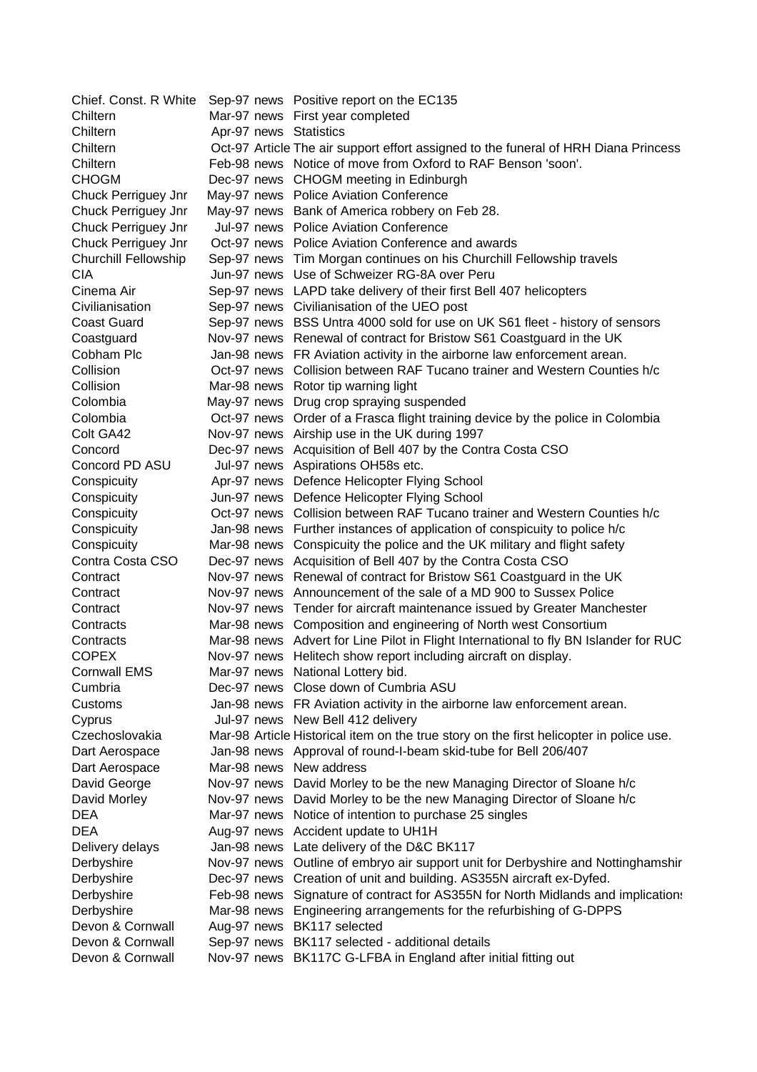| Chief. Const. R White       |                         | Sep-97 news Positive report on the EC135                                                |
|-----------------------------|-------------------------|-----------------------------------------------------------------------------------------|
| Chiltern                    |                         | Mar-97 news First year completed                                                        |
| Chiltern                    | Apr-97 news Statistics  |                                                                                         |
| Chiltern                    |                         | Oct-97 Article The air support effort assigned to the funeral of HRH Diana Princess     |
| Chiltern                    |                         | Feb-98 news Notice of move from Oxford to RAF Benson 'soon'.                            |
| <b>CHOGM</b>                |                         | Dec-97 news CHOGM meeting in Edinburgh                                                  |
| Chuck Perriguey Jnr         |                         | May-97 news Police Aviation Conference                                                  |
| Chuck Perriguey Jnr         |                         | May-97 news Bank of America robbery on Feb 28.                                          |
| Chuck Perriguey Jnr         |                         | Jul-97 news Police Aviation Conference                                                  |
| Chuck Perriguey Jnr         |                         | Oct-97 news Police Aviation Conference and awards                                       |
| <b>Churchill Fellowship</b> |                         | Sep-97 news Tim Morgan continues on his Churchill Fellowship travels                    |
| <b>CIA</b>                  |                         | Jun-97 news Use of Schweizer RG-8A over Peru                                            |
| Cinema Air                  |                         | Sep-97 news LAPD take delivery of their first Bell 407 helicopters                      |
| Civilianisation             |                         | Sep-97 news Civilianisation of the UEO post                                             |
| <b>Coast Guard</b>          |                         | Sep-97 news BSS Untra 4000 sold for use on UK S61 fleet - history of sensors            |
| Coastguard                  |                         | Nov-97 news Renewal of contract for Bristow S61 Coastguard in the UK                    |
| Cobham Plc                  |                         | Jan-98 news FR Aviation activity in the airborne law enforcement arean.                 |
| Collision                   |                         | Oct-97 news Collision between RAF Tucano trainer and Western Counties h/c               |
| Collision                   |                         | Mar-98 news Rotor tip warning light                                                     |
| Colombia                    |                         | May-97 news Drug crop spraying suspended                                                |
| Colombia                    |                         | Oct-97 news Order of a Frasca flight training device by the police in Colombia          |
| Colt GA42                   |                         | Nov-97 news Airship use in the UK during 1997                                           |
| Concord                     |                         | Dec-97 news Acquisition of Bell 407 by the Contra Costa CSO                             |
| Concord PD ASU              |                         | Jul-97 news Aspirations OH58s etc.                                                      |
| Conspicuity                 |                         | Apr-97 news Defence Helicopter Flying School                                            |
| Conspicuity                 |                         | Jun-97 news Defence Helicopter Flying School                                            |
| Conspicuity                 |                         | Oct-97 news Collision between RAF Tucano trainer and Western Counties h/c               |
| Conspicuity                 |                         | Jan-98 news Further instances of application of conspicuity to police h/c               |
| Conspicuity                 |                         | Mar-98 news Conspicuity the police and the UK military and flight safety                |
| Contra Costa CSO            |                         | Dec-97 news Acquisition of Bell 407 by the Contra Costa CSO                             |
| Contract                    |                         | Nov-97 news Renewal of contract for Bristow S61 Coastguard in the UK                    |
| Contract                    |                         | Nov-97 news Announcement of the sale of a MD 900 to Sussex Police                       |
| Contract                    |                         | Nov-97 news Tender for aircraft maintenance issued by Greater Manchester                |
| Contracts                   |                         | Mar-98 news Composition and engineering of North west Consortium                        |
| Contracts                   |                         | Mar-98 news Advert for Line Pilot in Flight International to fly BN Islander for RUC    |
| <b>COPEX</b>                |                         | Nov-97 news Helitech show report including aircraft on display.                         |
| <b>Cornwall EMS</b>         |                         | Mar-97 news National Lottery bid.                                                       |
| Cumbria                     |                         | Dec-97 news Close down of Cumbria ASU                                                   |
| Customs                     |                         | Jan-98 news FR Aviation activity in the airborne law enforcement arean.                 |
| Cyprus                      |                         | Jul-97 news New Bell 412 delivery                                                       |
| Czechoslovakia              |                         | Mar-98 Article Historical item on the true story on the first helicopter in police use. |
| Dart Aerospace              |                         | Jan-98 news Approval of round-I-beam skid-tube for Bell 206/407                         |
| Dart Aerospace              | Mar-98 news New address |                                                                                         |
| David George                |                         | Nov-97 news David Morley to be the new Managing Director of Sloane h/c                  |
| David Morley                |                         | Nov-97 news David Morley to be the new Managing Director of Sloane h/c                  |
| <b>DEA</b>                  |                         | Mar-97 news Notice of intention to purchase 25 singles                                  |
| <b>DEA</b>                  |                         | Aug-97 news Accident update to UH1H                                                     |
| Delivery delays             |                         | Jan-98 news Late delivery of the D&C BK117                                              |
| Derbyshire                  |                         | Nov-97 news Outline of embryo air support unit for Derbyshire and Nottinghamshir        |
| Derbyshire                  | Dec-97 news             | Creation of unit and building. AS355N aircraft ex-Dyfed.                                |
| Derbyshire                  | Feb-98 news             | Signature of contract for AS355N for North Midlands and implications                    |
| Derbyshire                  | Mar-98 news             | Engineering arrangements for the refurbishing of G-DPPS                                 |
| Devon & Cornwall            | Aug-97 news             | BK117 selected                                                                          |
| Devon & Cornwall            |                         | Sep-97 news BK117 selected - additional details                                         |
| Devon & Cornwall            |                         | Nov-97 news BK117C G-LFBA in England after initial fitting out                          |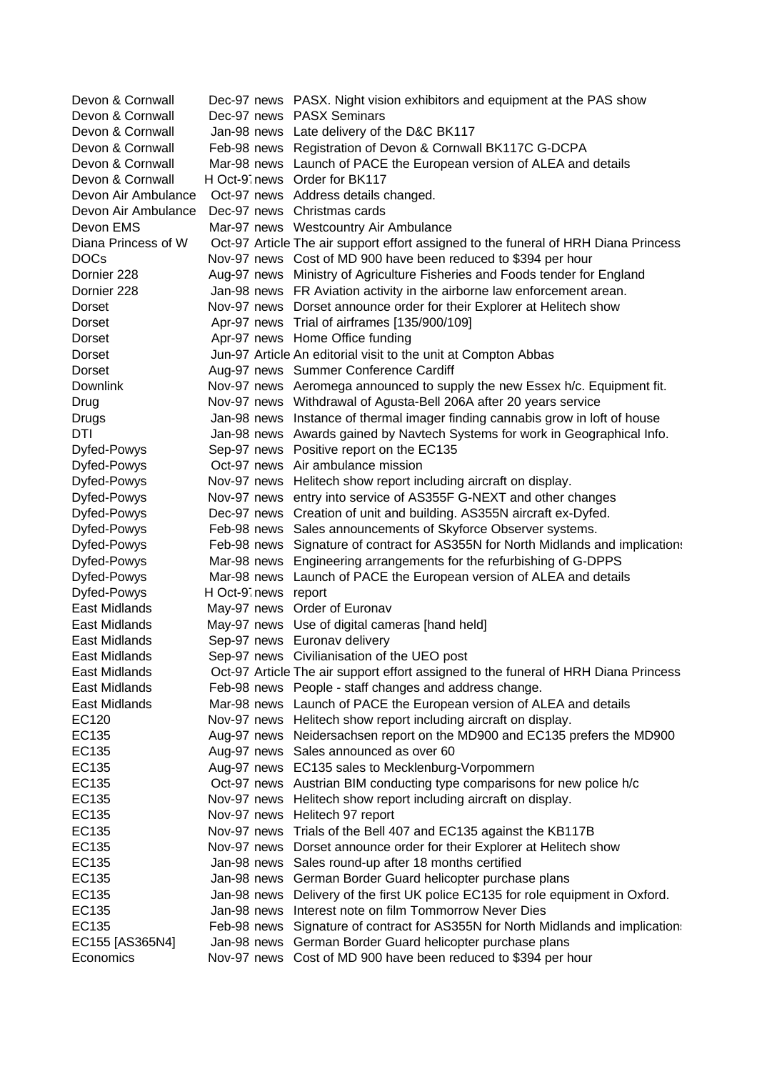Devon & Cornwall Dec-97 news PASX. Night vision exhibitors and equipment at the PAS show Devon & Cornwall Dec-97 news PASX Seminars Devon & Cornwall Jan-98 news Late delivery of the D&C BK117 Devon & Cornwall Feb-98 news Registration of Devon & Cornwall BK117C G-DCPA Devon & Cornwall Mar-98 news Launch of PACE the European version of ALEA and details Devon & Cornwall H Oct-97 news Order for BK117 Devon Air Ambulance Oct-97 news Address details changed. Devon Air Ambulance Dec-97 news Christmas cards Devon EMS Mar-97 news Westcountry Air Ambulance Diana Princess of W Oct-97 Article The air support effort assigned to the funeral of HRH Diana Princess DOCs Nov-97 news Cost of MD 900 have been reduced to \$394 per hour Dornier 228 Aug-97 news Ministry of Agriculture Fisheries and Foods tender for England Dornier 228 Jan-98 news FR Aviation activity in the airborne law enforcement arean. Dorset Nov-97 news Dorset announce order for their Explorer at Helitech show Dorset **Apr-97 news** Trial of airframes [135/900/109] Dorset **Apr-97 news** Home Office funding Dorset Jun-97 Article An editorial visit to the unit at Compton Abbas Dorset **Aug-97** news Summer Conference Cardiff Downlink Nov-97 news Aeromega announced to supply the new Essex h/c. Equipment fit. Drug Nov-97 news Withdrawal of Agusta-Bell 206A after 20 years service Drugs **Instance of thermal imager finding cannabis grow in loft of house** DTI Jan-98 news Awards gained by Navtech Systems for work in Geographical Info. Dyfed-Powys Sep-97 news Positive report on the EC135 Dyfed-Powys Oct-97 news Air ambulance mission Dyfed-Powys Nov-97 news Helitech show report including aircraft on display. Dyfed-Powys Nov-97 news entry into service of AS355F G-NEXT and other changes Dyfed-Powys Dec-97 news Creation of unit and building. AS355N aircraft ex-Dyfed. Dyfed-Powys Feb-98 news Sales announcements of Skyforce Observer systems. Dyfed-Powys Feb-98 news Signature of contract for AS355N for North Midlands and implications Dyfed-Powys Mar-98 news Engineering arrangements for the refurbishing of G-DPPS Dyfed-Powys Mar-98 news Launch of PACE the European version of ALEA and details Dyfed-Powys H Oct-97 news report East Midlands May-97 news Order of Euronav East Midlands May-97 news Use of digital cameras [hand held] East Midlands Sep-97 news Euronav delivery East Midlands Sep-97 news Civilianisation of the UEO post East Midlands Oct-97 Article The air support effort assigned to the funeral of HRH Diana Princess East Midlands Feb-98 news People - staff changes and address change. East Midlands Mar-98 news Launch of PACE the European version of ALEA and details EC120 Nov-97 news Helitech show report including aircraft on display. EC135 Aug-97 news Neidersachsen report on the MD900 and EC135 prefers the MD900 EC135 Aug-97 news Sales announced as over 60 EC135 Aug-97 news EC135 sales to Mecklenburg-Vorpommern EC135 Oct-97 news Austrian BIM conducting type comparisons for new police h/c EC135 Nov-97 news Helitech show report including aircraft on display. EC135 Nov-97 news Helitech 97 report EC135 Nov-97 news Trials of the Bell 407 and EC135 against the KB117B EC135 Nov-97 news Dorset announce order for their Explorer at Helitech show EC135 Jan-98 news Sales round-up after 18 months certified EC135 Jan-98 news German Border Guard helicopter purchase plans EC135 Jan-98 news Delivery of the first UK police EC135 for role equipment in Oxford. EC135 Jan-98 news Interest note on film Tommorrow Never Dies EC135 Feb-98 news Signature of contract for AS355N for North Midlands and implications EC155 [AS365N4] Jan-98 news German Border Guard helicopter purchase plans Economics Nov-97 news Cost of MD 900 have been reduced to \$394 per hour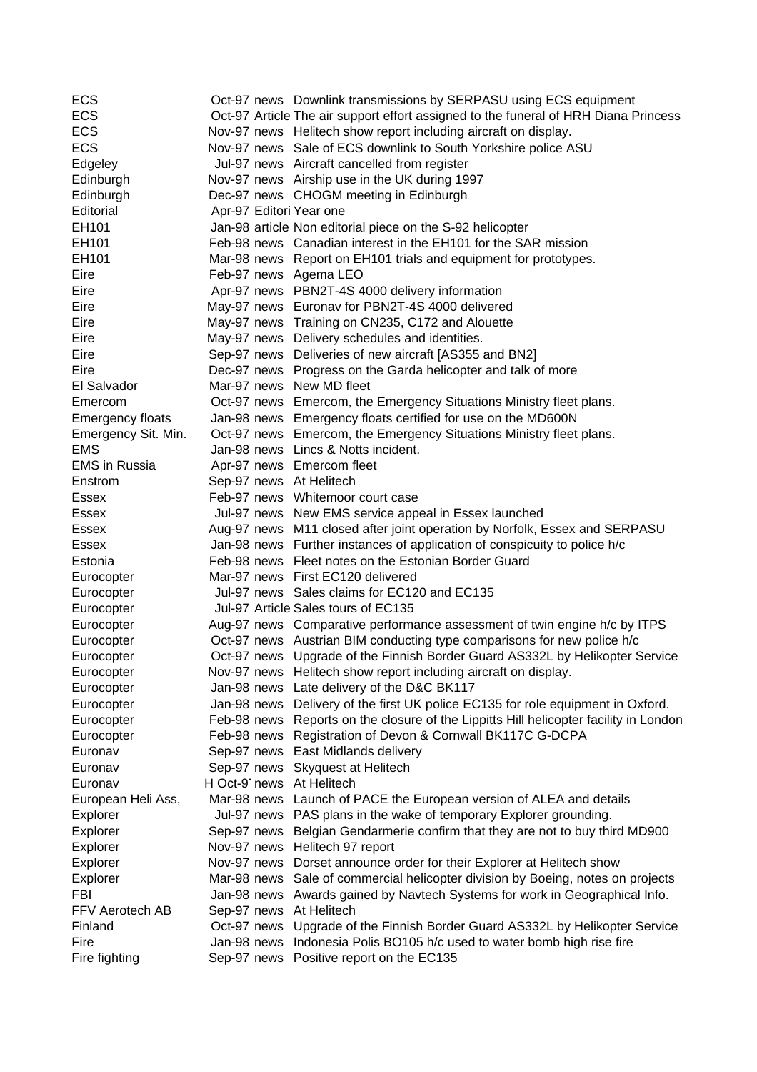| <b>ECS</b>              |                           | Oct-97 news Downlink transmissions by SERPASU using ECS equipment                   |
|-------------------------|---------------------------|-------------------------------------------------------------------------------------|
| <b>ECS</b>              |                           | Oct-97 Article The air support effort assigned to the funeral of HRH Diana Princess |
| <b>ECS</b>              |                           | Nov-97 news Helitech show report including aircraft on display.                     |
| <b>ECS</b>              |                           | Nov-97 news Sale of ECS downlink to South Yorkshire police ASU                      |
| Edgeley                 |                           | Jul-97 news Aircraft cancelled from register                                        |
| Edinburgh               |                           | Nov-97 news Airship use in the UK during 1997                                       |
| Edinburgh               |                           | Dec-97 news CHOGM meeting in Edinburgh                                              |
| Editorial               | Apr-97 Editori Year one   |                                                                                     |
| EH101                   |                           | Jan-98 article Non editorial piece on the S-92 helicopter                           |
| EH101                   |                           | Feb-98 news Canadian interest in the EH101 for the SAR mission                      |
| EH101                   |                           | Mar-98 news Report on EH101 trials and equipment for prototypes.                    |
| Eire                    | Feb-97 news Agema LEO     |                                                                                     |
| Eire                    |                           | Apr-97 news PBN2T-4S 4000 delivery information                                      |
| Eire                    |                           | May-97 news Euronav for PBN2T-4S 4000 delivered                                     |
| Eire                    |                           | May-97 news Training on CN235, C172 and Alouette                                    |
| Eire                    |                           | May-97 news Delivery schedules and identities.                                      |
| Eire                    |                           | Sep-97 news Deliveries of new aircraft [AS355 and BN2]                              |
|                         |                           |                                                                                     |
| Eire                    |                           | Dec-97 news Progress on the Garda helicopter and talk of more                       |
| El Salvador             | Mar-97 news New MD fleet  |                                                                                     |
| Emercom                 |                           | Oct-97 news Emercom, the Emergency Situations Ministry fleet plans.                 |
| <b>Emergency floats</b> |                           | Jan-98 news Emergency floats certified for use on the MD600N                        |
| Emergency Sit. Min.     |                           | Oct-97 news Emercom, the Emergency Situations Ministry fleet plans.                 |
| <b>EMS</b>              |                           | Jan-98 news Lincs & Notts incident.                                                 |
| <b>EMS in Russia</b>    |                           | Apr-97 news Emercom fleet                                                           |
| Enstrom                 | Sep-97 news At Helitech   |                                                                                     |
| Essex                   |                           | Feb-97 news Whitemoor court case                                                    |
| Essex                   |                           | Jul-97 news New EMS service appeal in Essex launched                                |
| Essex                   |                           | Aug-97 news M11 closed after joint operation by Norfolk, Essex and SERPASU          |
| Essex                   |                           | Jan-98 news Further instances of application of conspicuity to police h/c           |
| Estonia                 |                           | Feb-98 news Fleet notes on the Estonian Border Guard                                |
| Eurocopter              |                           | Mar-97 news First EC120 delivered                                                   |
| Eurocopter              |                           | Jul-97 news Sales claims for EC120 and EC135                                        |
| Eurocopter              |                           | Jul-97 Article Sales tours of EC135                                                 |
| Eurocopter              |                           | Aug-97 news Comparative performance assessment of twin engine h/c by ITPS           |
| Eurocopter              |                           | Oct-97 news Austrian BIM conducting type comparisons for new police h/c             |
| Eurocopter              |                           | Oct-97 news Upgrade of the Finnish Border Guard AS332L by Helikopter Service        |
| Eurocopter              | Nov-97 news               | Helitech show report including aircraft on display.                                 |
| Eurocopter              | Jan-98 news               | Late delivery of the D&C BK117                                                      |
| Eurocopter              | Jan-98 news               | Delivery of the first UK police EC135 for role equipment in Oxford.                 |
| Eurocopter              | Feb-98 news               | Reports on the closure of the Lippitts Hill helicopter facility in London           |
| Eurocopter              | Feb-98 news               | Registration of Devon & Cornwall BK117C G-DCPA                                      |
| Euronav                 | Sep-97 news               | East Midlands delivery                                                              |
| Euronav                 | Sep-97 news               | Skyquest at Helitech                                                                |
| Euronav                 | H Oct-97 news At Helitech |                                                                                     |
| European Heli Ass,      |                           | Mar-98 news Launch of PACE the European version of ALEA and details                 |
| Explorer                |                           | Jul-97 news PAS plans in the wake of temporary Explorer grounding.                  |
| Explorer                | Sep-97 news               | Belgian Gendarmerie confirm that they are not to buy third MD900                    |
| Explorer                | Nov-97 news               | Helitech 97 report                                                                  |
| Explorer                | Nov-97 news               | Dorset announce order for their Explorer at Helitech show                           |
| Explorer                | Mar-98 news               | Sale of commercial helicopter division by Boeing, notes on projects                 |
| FBI                     | Jan-98 news               | Awards gained by Navtech Systems for work in Geographical Info.                     |
| FFV Aerotech AB         | Sep-97 news At Helitech   |                                                                                     |
| Finland                 | Oct-97 news               | Upgrade of the Finnish Border Guard AS332L by Helikopter Service                    |
| Fire                    | Jan-98 news               | Indonesia Polis BO105 h/c used to water bomb high rise fire                         |
| Fire fighting           | Sep-97 news               | Positive report on the EC135                                                        |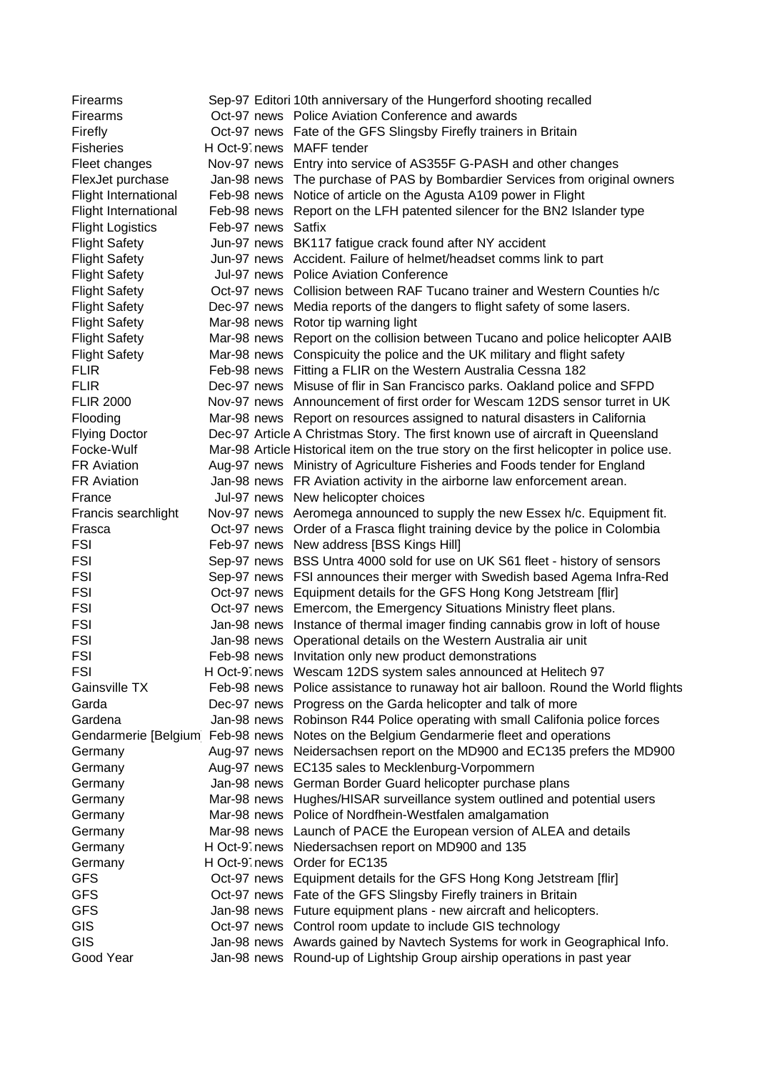Firearms Sep-97 Editori 10th anniversary of the Hungerford shooting recalled Firearms Oct-97 news Police Aviation Conference and awards Firefly Oct-97 news Fate of the GFS Slingsby Firefly trainers in Britain Fisheries H Oct-97 news MAFF tender Fleet changes Nov-97 news Entry into service of AS355F G-PASH and other changes FlexJet purchase Jan-98 news The purchase of PAS by Bombardier Services from original owners Flight International Feb-98 news Notice of article on the Agusta A109 power in Flight Flight International Feb-98 news Report on the LFH patented silencer for the BN2 Islander type Flight Logistics Feb-97 news Satfix Flight Safety **Jun-97 news** BK117 fatigue crack found after NY accident Flight Safety Jun-97 news Accident. Failure of helmet/headset comms link to part Flight Safety Jul-97 news Police Aviation Conference Flight Safety Oct-97 news Collision between RAF Tucano trainer and Western Counties h/c Flight Safety Dec-97 news Media reports of the dangers to flight safety of some lasers. Flight Safety Mar-98 news Rotor tip warning light Flight Safety Mar-98 news Report on the collision between Tucano and police helicopter AAIB Flight Safety Mar-98 news Conspicuity the police and the UK military and flight safety FLIR Feb-98 news Fitting a FLIR on the Western Australia Cessna 182 FLIR Dec-97 news Misuse of flir in San Francisco parks. Oakland police and SFPD FLIR 2000 Nov-97 news Announcement of first order for Wescam 12DS sensor turret in UK Flooding Mar-98 news Report on resources assigned to natural disasters in California Flying Doctor Dec-97 Article A Christmas Story. The first known use of aircraft in Queensland Focke-Wulf Mar-98 Article Historical item on the true story on the first helicopter in police use. FR Aviation Aug-97 news Ministry of Agriculture Fisheries and Foods tender for England FR Aviation Jan-98 news FR Aviation activity in the airborne law enforcement arean. France Jul-97 news New helicopter choices Francis searchlight Nov-97 news Aeromega announced to supply the new Essex h/c. Equipment fit. Frasca Oct-97 news Order of a Frasca flight training device by the police in Colombia FSI Feb-97 news New address [BSS Kings Hill] FSI Sep-97 news BSS Untra 4000 sold for use on UK S61 fleet - history of sensors FSI Sep-97 news FSI announces their merger with Swedish based Agema Infra-Red FSI **COL-97 news** Equipment details for the GFS Hong Kong Jetstream [flir] FSI **COL-97** news Emercom, the Emergency Situations Ministry fleet plans. FSI Jan-98 news Instance of thermal imager finding cannabis grow in loft of house FSI Jan-98 news Operational details on the Western Australia air unit FSI Feb-98 news Invitation only new product demonstrations FSI H Oct-97news Wescam 12DS system sales announced at Helitech 97 Gainsville TX Feb-98 news Police assistance to runaway hot air balloon. Round the World flights Garda Dec-97 news Progress on the Garda helicopter and talk of more Gardena **Jan-98 news** Robinson R44 Police operating with small Califonia police forces Gendarmerie [Belgium] Feb-98 news Notes on the Belgium Gendarmerie fleet and operations Germany Aug-97 news Neidersachsen report on the MD900 and EC135 prefers the MD900 Germany Aug-97 news EC135 sales to Mecklenburg-Vorpommern Germany Jan-98 news German Border Guard helicopter purchase plans Germany Mar-98 news Hughes/HISAR surveillance system outlined and potential users Germany Mar-98 news Police of Nordfhein-Westfalen amalgamation Germany Mar-98 news Launch of PACE the European version of ALEA and details Germany H Oct-97news Niedersachsen report on MD900 and 135 Germany H Oct-97 news Order for EC135 GFS Oct-97 news Equipment details for the GFS Hong Kong Jetstream [flir] GFS Oct-97 news Fate of the GFS Slingsby Firefly trainers in Britain GFS Jan-98 news Future equipment plans - new aircraft and helicopters. GIS Oct-97 news Control room update to include GIS technology GIS Jan-98 news Awards gained by Navtech Systems for work in Geographical Info. Good Year Jan-98 news Round-up of Lightship Group airship operations in past year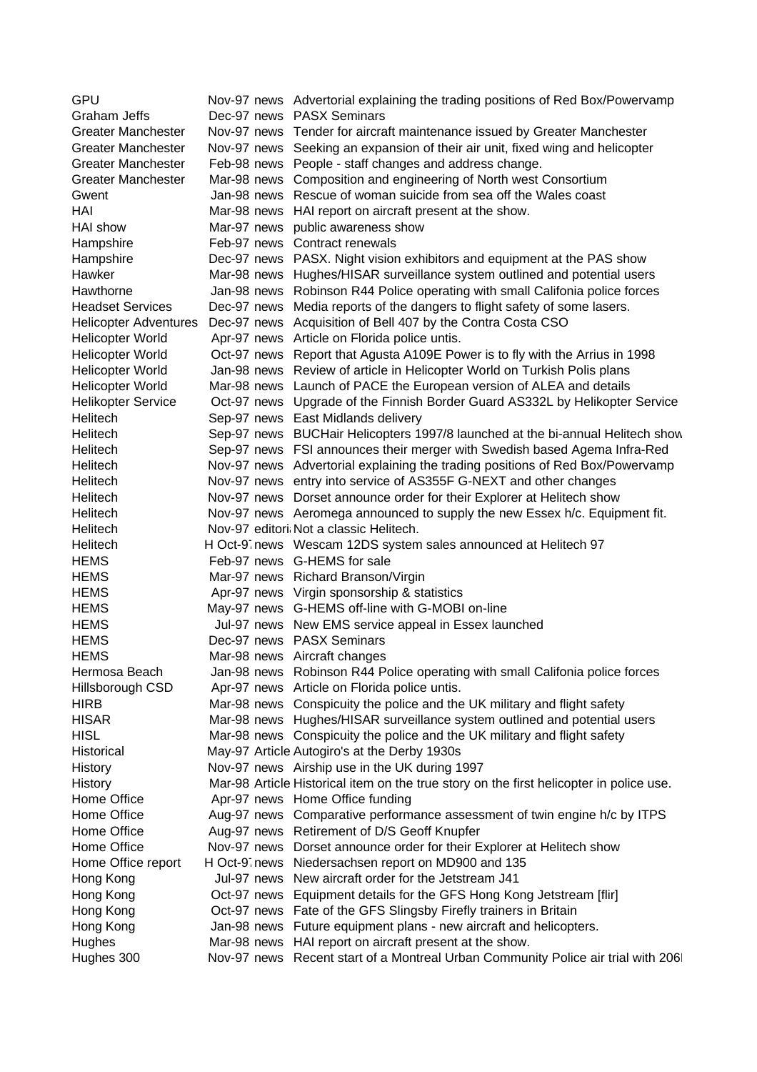| <b>GPU</b>                   |             | Nov-97 news Advertorial explaining the trading positions of Red Box/Powervamp           |
|------------------------------|-------------|-----------------------------------------------------------------------------------------|
| <b>Graham Jeffs</b>          |             | Dec-97 news PASX Seminars                                                               |
| <b>Greater Manchester</b>    |             | Nov-97 news Tender for aircraft maintenance issued by Greater Manchester                |
| <b>Greater Manchester</b>    |             | Nov-97 news Seeking an expansion of their air unit, fixed wing and helicopter           |
| <b>Greater Manchester</b>    |             | Feb-98 news People - staff changes and address change.                                  |
| <b>Greater Manchester</b>    |             | Mar-98 news Composition and engineering of North west Consortium                        |
| Gwent                        |             | Jan-98 news Rescue of woman suicide from sea off the Wales coast                        |
| HAI                          |             | Mar-98 news HAI report on aircraft present at the show.                                 |
| HAI show                     |             | Mar-97 news public awareness show                                                       |
| Hampshire                    |             | Feb-97 news Contract renewals                                                           |
| Hampshire                    |             | Dec-97 news PASX. Night vision exhibitors and equipment at the PAS show                 |
| Hawker                       | Mar-98 news | Hughes/HISAR surveillance system outlined and potential users                           |
| Hawthorne                    | Jan-98 news | Robinson R44 Police operating with small Califonia police forces                        |
| <b>Headset Services</b>      | Dec-97 news | Media reports of the dangers to flight safety of some lasers.                           |
| <b>Helicopter Adventures</b> | Dec-97 news | Acquisition of Bell 407 by the Contra Costa CSO                                         |
| Helicopter World             |             | Apr-97 news Article on Florida police untis.                                            |
| Helicopter World             |             | Oct-97 news Report that Agusta A109E Power is to fly with the Arrius in 1998            |
| Helicopter World             |             | Jan-98 news Review of article in Helicopter World on Turkish Polis plans                |
| Helicopter World             |             | Mar-98 news Launch of PACE the European version of ALEA and details                     |
| <b>Helikopter Service</b>    |             | Oct-97 news Upgrade of the Finnish Border Guard AS332L by Helikopter Service            |
| Helitech                     |             | Sep-97 news East Midlands delivery                                                      |
| Helitech                     |             | Sep-97 news BUCHair Helicopters 1997/8 launched at the bi-annual Helitech show          |
| Helitech                     |             | Sep-97 news FSI announces their merger with Swedish based Agema Infra-Red               |
| Helitech                     |             | Nov-97 news Advertorial explaining the trading positions of Red Box/Powervamp           |
| Helitech                     |             | Nov-97 news entry into service of AS355F G-NEXT and other changes                       |
| Helitech                     | Nov-97 news | Dorset announce order for their Explorer at Helitech show                               |
| Helitech                     |             | Nov-97 news Aeromega announced to supply the new Essex h/c. Equipment fit.              |
| Helitech                     |             | Nov-97 editori Not a classic Helitech.                                                  |
| Helitech                     |             | H Oct-97 news Wescam 12DS system sales announced at Helitech 97                         |
| <b>HEMS</b>                  |             | Feb-97 news G-HEMS for sale                                                             |
| <b>HEMS</b>                  |             | Mar-97 news Richard Branson/Virgin                                                      |
| <b>HEMS</b>                  |             | Apr-97 news Virgin sponsorship & statistics                                             |
| <b>HEMS</b>                  |             | May-97 news G-HEMS off-line with G-MOBI on-line                                         |
| <b>HEMS</b>                  |             | Jul-97 news New EMS service appeal in Essex launched                                    |
| <b>HEMS</b>                  |             | Dec-97 news PASX Seminars                                                               |
| <b>HEMS</b>                  |             | Mar-98 news Aircraft changes                                                            |
| Hermosa Beach                |             | Jan-98 news Robinson R44 Police operating with small Califonia police forces            |
| Hillsborough CSD             |             | Apr-97 news Article on Florida police untis.                                            |
| <b>HIRB</b>                  |             | Mar-98 news Conspicuity the police and the UK military and flight safety                |
| <b>HISAR</b>                 |             | Mar-98 news Hughes/HISAR surveillance system outlined and potential users               |
| <b>HISL</b>                  |             | Mar-98 news Conspicuity the police and the UK military and flight safety                |
| Historical                   |             | May-97 Article Autogiro's at the Derby 1930s                                            |
| History                      |             | Nov-97 news Airship use in the UK during 1997                                           |
| History                      |             | Mar-98 Article Historical item on the true story on the first helicopter in police use. |
| Home Office                  |             | Apr-97 news Home Office funding                                                         |
| Home Office                  |             | Aug-97 news Comparative performance assessment of twin engine h/c by ITPS               |
| Home Office                  |             | Aug-97 news Retirement of D/S Geoff Knupfer                                             |
| Home Office                  |             | Nov-97 news Dorset announce order for their Explorer at Helitech show                   |
| Home Office report           |             | H Oct-97 news Niedersachsen report on MD900 and 135                                     |
| Hong Kong                    |             | Jul-97 news New aircraft order for the Jetstream J41                                    |
| Hong Kong                    |             | Oct-97 news Equipment details for the GFS Hong Kong Jetstream [flir]                    |
| Hong Kong                    |             | Oct-97 news Fate of the GFS Slingsby Firefly trainers in Britain                        |
| Hong Kong                    |             | Jan-98 news Future equipment plans - new aircraft and helicopters.                      |
| Hughes                       |             | Mar-98 news HAI report on aircraft present at the show.                                 |
| Hughes 300                   |             | Nov-97 news Recent start of a Montreal Urban Community Police air trial with 206        |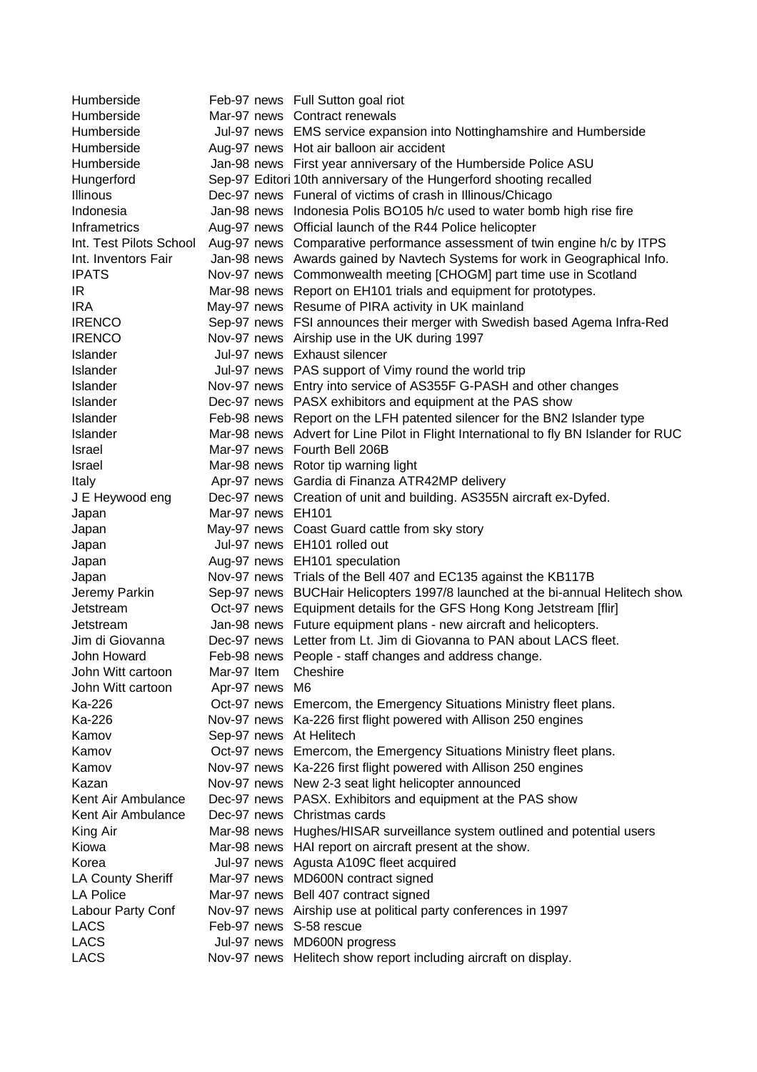Humberside Feb-97 news Full Sutton goal riot Humberside Mar-97 news Contract renewals Humberside Jul-97 news EMS service expansion into Nottinghamshire and Humberside Humberside Aug-97 news Hot air balloon air accident Humberside **Jan-98 news** First year anniversary of the Humberside Police ASU Hungerford Sep-97 Editori 10th anniversary of the Hungerford shooting recalled Illinous Dec-97 news Funeral of victims of crash in Illinous/Chicago Indonesia Jan-98 news Indonesia Polis BO105 h/c used to water bomb high rise fire Inframetrics Aug-97 news Official launch of the R44 Police helicopter Int. Test Pilots School Aug-97 news Comparative performance assessment of twin engine h/c by ITPS Int. Inventors Fair Jan-98 news Awards gained by Navtech Systems for work in Geographical Info. IPATS Nov-97 news Commonwealth meeting [CHOGM] part time use in Scotland IR Mar-98 news Report on EH101 trials and equipment for prototypes. IRA May-97 news Resume of PIRA activity in UK mainland IRENCO Sep-97 news FSI announces their merger with Swedish based Agema Infra-Red IRENCO Nov-97 news Airship use in the UK during 1997 Islander Jul-97 news Exhaust silencer Islander **Jul-97 news** PAS support of Vimy round the world trip Islander Nov-97 news Entry into service of AS355F G-PASH and other changes Islander Dec-97 news PASX exhibitors and equipment at the PAS show Islander Feb-98 news Report on the LFH patented silencer for the BN2 Islander type Islander Mar-98 news Advert for Line Pilot in Flight International to fly BN Islander for RUC Israel Mar-97 news Fourth Bell 206B Israel Mar-98 news Rotor tip warning light Italy Apr-97 news Gardia di Finanza ATR42MP delivery J E Heywood eng Dec-97 news Creation of unit and building. AS355N aircraft ex-Dyfed. Japan Mar-97 news EH101 Japan May-97 news Coast Guard cattle from sky story Japan Jul-97 news EH101 rolled out Japan Aug-97 news EH101 speculation Japan Nov-97 news Trials of the Bell 407 and EC135 against the KB117B Jeremy Parkin Sep-97 news BUCHair Helicopters 1997/8 launched at the bi-annual Helitech show Jetstream Oct-97 news Equipment details for the GFS Hong Kong Jetstream [flir] Jetstream Jan-98 news Future equipment plans - new aircraft and helicopters. Jim di Giovanna Dec-97 news Letter from Lt. Jim di Giovanna to PAN about LACS fleet. John Howard Feb-98 news People - staff changes and address change. John Witt cartoon Mar-97 Item Cheshire John Witt cartoon Apr-97 news M6 Ka-226 Oct-97 news Emercom, the Emergency Situations Ministry fleet plans. Ka-226 Nov-97 news Ka-226 first flight powered with Allison 250 engines Kamov Sep-97 news At Helitech Kamov Oct-97 news Emercom, the Emergency Situations Ministry fleet plans. Kamov Nov-97 news Ka-226 first flight powered with Allison 250 engines Kazan Nov-97 news New 2-3 seat light helicopter announced Kent Air Ambulance Dec-97 news PASX. Exhibitors and equipment at the PAS show Kent Air Ambulance Dec-97 news Christmas cards King Air Mar-98 news Hughes/HISAR surveillance system outlined and potential users Kiowa Mar-98 news HAI report on aircraft present at the show. Korea Jul-97 news Agusta A109C fleet acquired LA County Sheriff Mar-97 news MD600N contract signed LA Police Mar-97 news Bell 407 contract signed Labour Party Conf Nov-97 news Airship use at political party conferences in 1997 LACS Feb-97 news S-58 rescue LACS Jul-97 news MD600N progress LACS Nov-97 news Helitech show report including aircraft on display.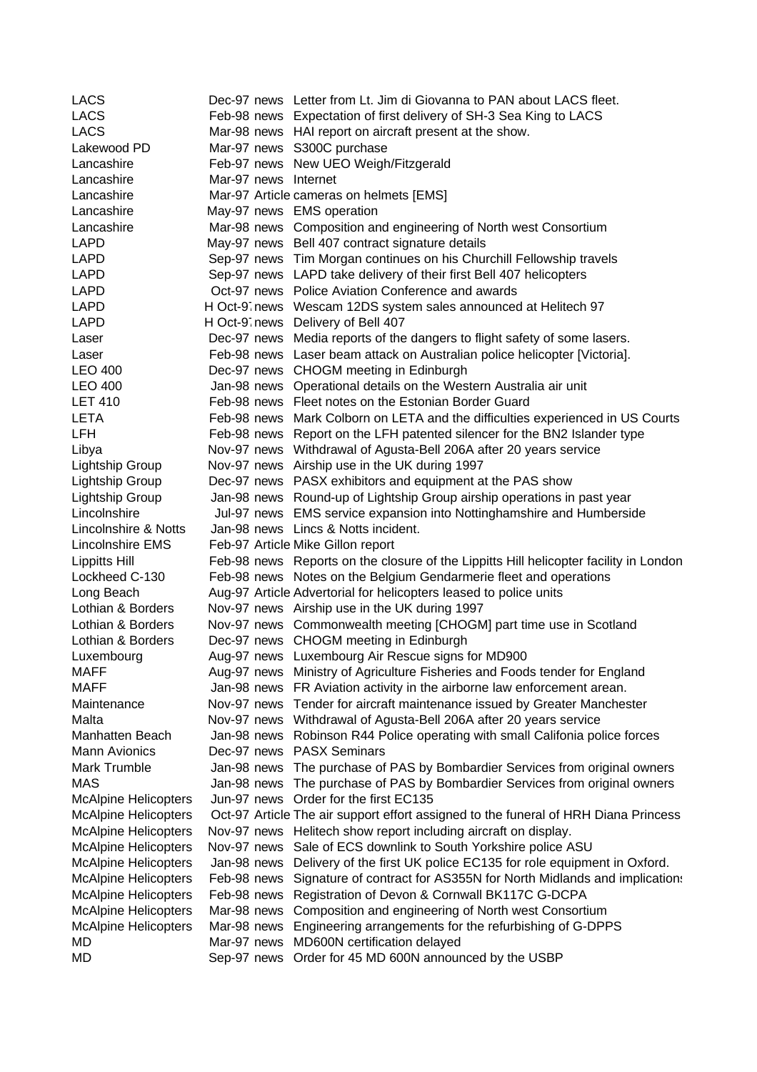| <b>LACS</b>                 |                      | Dec-97 news Letter from Lt. Jim di Giovanna to PAN about LACS fleet.                  |
|-----------------------------|----------------------|---------------------------------------------------------------------------------------|
| <b>LACS</b>                 |                      | Feb-98 news Expectation of first delivery of SH-3 Sea King to LACS                    |
| <b>LACS</b>                 |                      | Mar-98 news HAI report on aircraft present at the show.                               |
| Lakewood PD                 |                      | Mar-97 news S300C purchase                                                            |
| Lancashire                  |                      | Feb-97 news New UEO Weigh/Fitzgerald                                                  |
| Lancashire                  | Mar-97 news Internet |                                                                                       |
| Lancashire                  |                      | Mar-97 Article cameras on helmets [EMS]                                               |
| Lancashire                  |                      | May-97 news EMS operation                                                             |
| Lancashire                  |                      | Mar-98 news Composition and engineering of North west Consortium                      |
| <b>LAPD</b>                 |                      | May-97 news Bell 407 contract signature details                                       |
| <b>LAPD</b>                 |                      | Sep-97 news Tim Morgan continues on his Churchill Fellowship travels                  |
| <b>LAPD</b>                 |                      | Sep-97 news LAPD take delivery of their first Bell 407 helicopters                    |
| <b>LAPD</b>                 |                      | Oct-97 news Police Aviation Conference and awards                                     |
| <b>LAPD</b>                 |                      | H Oct-97 news Wescam 12DS system sales announced at Helitech 97                       |
| <b>LAPD</b>                 |                      | H Oct-97 news Delivery of Bell 407                                                    |
| Laser                       |                      | Dec-97 news Media reports of the dangers to flight safety of some lasers.             |
| Laser                       |                      | Feb-98 news Laser beam attack on Australian police helicopter [Victoria].             |
| <b>LEO 400</b>              |                      | Dec-97 news CHOGM meeting in Edinburgh                                                |
| <b>LEO 400</b>              |                      | Jan-98 news Operational details on the Western Australia air unit                     |
| <b>LET 410</b>              |                      | Feb-98 news Fleet notes on the Estonian Border Guard                                  |
| <b>LETA</b>                 |                      | Feb-98 news Mark Colborn on LETA and the difficulties experienced in US Courts        |
| <b>LFH</b>                  |                      | Feb-98 news Report on the LFH patented silencer for the BN2 Islander type             |
| Libya                       |                      | Nov-97 news Withdrawal of Agusta-Bell 206A after 20 years service                     |
| Lightship Group             |                      | Nov-97 news Airship use in the UK during 1997                                         |
| Lightship Group             |                      | Dec-97 news PASX exhibitors and equipment at the PAS show                             |
| Lightship Group             |                      | Jan-98 news Round-up of Lightship Group airship operations in past year               |
| Lincolnshire                |                      | Jul-97 news EMS service expansion into Nottinghamshire and Humberside                 |
| Lincolnshire & Notts        |                      | Jan-98 news Lincs & Notts incident.                                                   |
| Lincolnshire EMS            |                      | Feb-97 Article Mike Gillon report                                                     |
| Lippitts Hill               |                      | Feb-98 news Reports on the closure of the Lippitts Hill helicopter facility in London |
| Lockheed C-130              |                      | Feb-98 news Notes on the Belgium Gendarmerie fleet and operations                     |
| Long Beach                  |                      | Aug-97 Article Advertorial for helicopters leased to police units                     |
| Lothian & Borders           |                      | Nov-97 news Airship use in the UK during 1997                                         |
| Lothian & Borders           |                      | Nov-97 news Commonwealth meeting [CHOGM] part time use in Scotland                    |
| Lothian & Borders           |                      | Dec-97 news CHOGM meeting in Edinburgh                                                |
| Luxembourg                  |                      | Aug-97 news Luxembourg Air Rescue signs for MD900                                     |
| <b>MAFF</b>                 |                      | Aug-97 news Ministry of Agriculture Fisheries and Foods tender for England            |
| <b>MAFF</b>                 |                      | Jan-98 news FR Aviation activity in the airborne law enforcement arean.               |
| Maintenance                 | Nov-97 news          | Tender for aircraft maintenance issued by Greater Manchester                          |
| Malta                       |                      | Nov-97 news Withdrawal of Agusta-Bell 206A after 20 years service                     |
| <b>Manhatten Beach</b>      |                      | Jan-98 news Robinson R44 Police operating with small Califonia police forces          |
| <b>Mann Avionics</b>        | Dec-97 news          | <b>PASX Seminars</b>                                                                  |
| Mark Trumble                | Jan-98 news          | The purchase of PAS by Bombardier Services from original owners                       |
| <b>MAS</b>                  | Jan-98 news          | The purchase of PAS by Bombardier Services from original owners                       |
| <b>McAlpine Helicopters</b> |                      | Jun-97 news Order for the first EC135                                                 |
| <b>McAlpine Helicopters</b> |                      | Oct-97 Article The air support effort assigned to the funeral of HRH Diana Princess   |
| <b>McAlpine Helicopters</b> |                      | Nov-97 news Helitech show report including aircraft on display.                       |
| <b>McAlpine Helicopters</b> | Nov-97 news          | Sale of ECS downlink to South Yorkshire police ASU                                    |
| <b>McAlpine Helicopters</b> | Jan-98 news          | Delivery of the first UK police EC135 for role equipment in Oxford.                   |
| <b>McAlpine Helicopters</b> | Feb-98 news          | Signature of contract for AS355N for North Midlands and implications                  |
| <b>McAlpine Helicopters</b> | Feb-98 news          | Registration of Devon & Cornwall BK117C G-DCPA                                        |
| <b>McAlpine Helicopters</b> | Mar-98 news          | Composition and engineering of North west Consortium                                  |
| <b>McAlpine Helicopters</b> | Mar-98 news          | Engineering arrangements for the refurbishing of G-DPPS                               |
| MD                          | Mar-97 news          | MD600N certification delayed                                                          |
| MD                          | Sep-97 news          | Order for 45 MD 600N announced by the USBP                                            |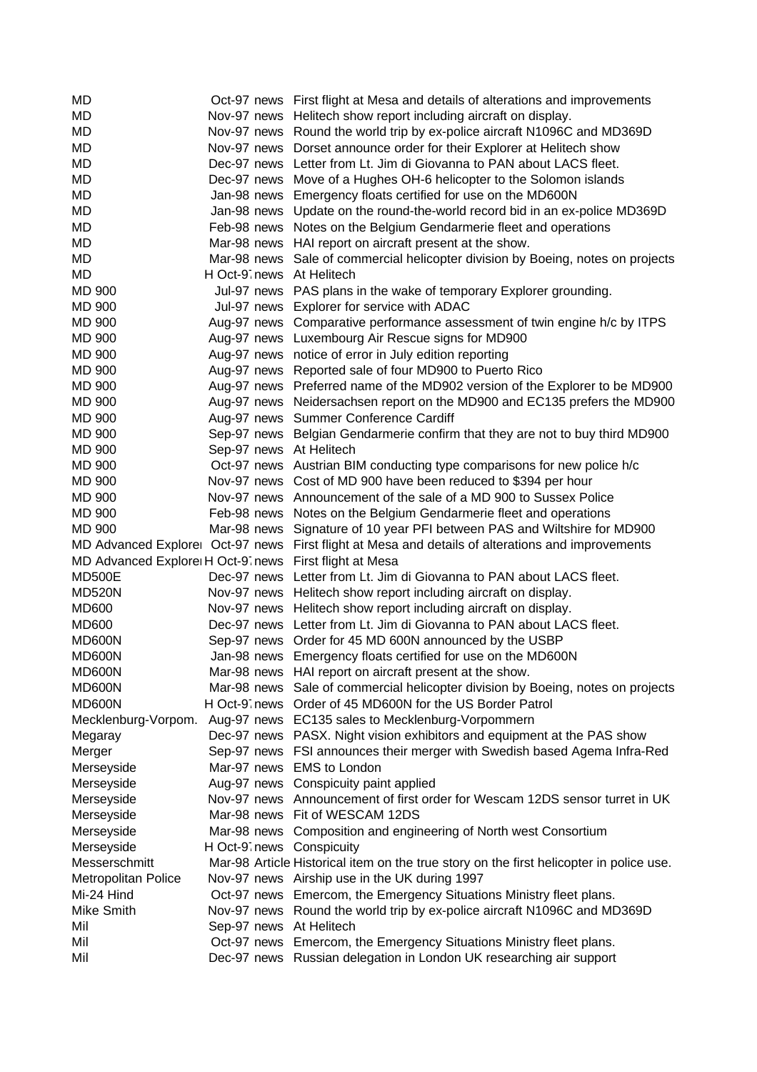| MD                                                     |                           | Oct-97 news First flight at Mesa and details of alterations and improvements            |
|--------------------------------------------------------|---------------------------|-----------------------------------------------------------------------------------------|
| MD                                                     |                           | Nov-97 news Helitech show report including aircraft on display.                         |
| MD                                                     |                           | Nov-97 news Round the world trip by ex-police aircraft N1096C and MD369D                |
| MD                                                     |                           | Nov-97 news Dorset announce order for their Explorer at Helitech show                   |
| MD                                                     |                           | Dec-97 news Letter from Lt. Jim di Giovanna to PAN about LACS fleet.                    |
| MD                                                     |                           | Dec-97 news Move of a Hughes OH-6 helicopter to the Solomon islands                     |
| MD                                                     |                           | Jan-98 news Emergency floats certified for use on the MD600N                            |
| MD                                                     |                           | Jan-98 news Update on the round-the-world record bid in an ex-police MD369D             |
| MD                                                     |                           | Feb-98 news Notes on the Belgium Gendarmerie fleet and operations                       |
| MD                                                     |                           | Mar-98 news HAI report on aircraft present at the show.                                 |
| MD                                                     |                           | Mar-98 news Sale of commercial helicopter division by Boeing, notes on projects         |
| MD                                                     | H Oct-97 news At Helitech |                                                                                         |
| <b>MD 900</b>                                          |                           | Jul-97 news PAS plans in the wake of temporary Explorer grounding.                      |
| MD 900                                                 |                           | Jul-97 news Explorer for service with ADAC                                              |
| MD 900                                                 |                           | Aug-97 news Comparative performance assessment of twin engine h/c by ITPS               |
| <b>MD 900</b>                                          |                           | Aug-97 news Luxembourg Air Rescue signs for MD900                                       |
| <b>MD 900</b>                                          |                           | Aug-97 news notice of error in July edition reporting                                   |
| MD 900                                                 |                           | Aug-97 news Reported sale of four MD900 to Puerto Rico                                  |
| MD 900                                                 |                           | Aug-97 news Preferred name of the MD902 version of the Explorer to be MD900             |
| <b>MD 900</b>                                          |                           | Aug-97 news Neidersachsen report on the MD900 and EC135 prefers the MD900               |
| <b>MD 900</b>                                          |                           | Aug-97 news Summer Conference Cardiff                                                   |
| MD 900                                                 |                           | Sep-97 news Belgian Gendarmerie confirm that they are not to buy third MD900            |
| <b>MD 900</b>                                          | Sep-97 news At Helitech   |                                                                                         |
| MD 900                                                 |                           | Oct-97 news Austrian BIM conducting type comparisons for new police h/c                 |
| MD 900                                                 |                           | Nov-97 news Cost of MD 900 have been reduced to \$394 per hour                          |
| MD 900                                                 |                           | Nov-97 news Announcement of the sale of a MD 900 to Sussex Police                       |
| <b>MD 900</b>                                          | Feb-98 news               | Notes on the Belgium Gendarmerie fleet and operations                                   |
| <b>MD 900</b>                                          | Mar-98 news               | Signature of 10 year PFI between PAS and Wiltshire for MD900                            |
| MD Advanced Explore Oct-97 news                        |                           | First flight at Mesa and details of alterations and improvements                        |
| MD Advanced Explore H Oct-97 news First flight at Mesa |                           |                                                                                         |
| <b>MD500E</b>                                          |                           | Dec-97 news Letter from Lt. Jim di Giovanna to PAN about LACS fleet.                    |
| <b>MD520N</b>                                          |                           | Nov-97 news Helitech show report including aircraft on display.                         |
| MD600                                                  |                           | Nov-97 news Helitech show report including aircraft on display.                         |
| <b>MD600</b>                                           |                           | Dec-97 news Letter from Lt. Jim di Giovanna to PAN about LACS fleet.                    |
| MD600N                                                 |                           | Sep-97 news Order for 45 MD 600N announced by the USBP                                  |
| MD600N                                                 |                           | Jan-98 news Emergency floats certified for use on the MD600N                            |
| MD600N                                                 |                           | Mar-98 news HAI report on aircraft present at the show.                                 |
| MD600N                                                 |                           | Mar-98 news Sale of commercial helicopter division by Boeing, notes on projects         |
| MD600N                                                 |                           | H Oct-97 news Order of 45 MD600N for the US Border Patrol                               |
| Mecklenburg-Vorpom.                                    |                           | Aug-97 news EC135 sales to Mecklenburg-Vorpommern                                       |
| Megaray                                                |                           | Dec-97 news PASX. Night vision exhibitors and equipment at the PAS show                 |
| Merger                                                 |                           | Sep-97 news FSI announces their merger with Swedish based Agema Infra-Red               |
| Merseyside                                             |                           | Mar-97 news EMS to London                                                               |
| Merseyside                                             |                           | Aug-97 news Conspicuity paint applied                                                   |
| Merseyside                                             |                           | Nov-97 news Announcement of first order for Wescam 12DS sensor turret in UK             |
| Merseyside                                             |                           | Mar-98 news Fit of WESCAM 12DS                                                          |
| Merseyside                                             |                           | Mar-98 news Composition and engineering of North west Consortium                        |
| Merseyside                                             | H Oct-97 news Conspicuity |                                                                                         |
| Messerschmitt                                          |                           | Mar-98 Article Historical item on the true story on the first helicopter in police use. |
| Metropolitan Police                                    |                           | Nov-97 news Airship use in the UK during 1997                                           |
| Mi-24 Hind                                             |                           | Oct-97 news Emercom, the Emergency Situations Ministry fleet plans.                     |
| Mike Smith                                             |                           | Nov-97 news Round the world trip by ex-police aircraft N1096C and MD369D                |
| Mil                                                    | Sep-97 news At Helitech   |                                                                                         |
| Mil                                                    |                           | Oct-97 news Emercom, the Emergency Situations Ministry fleet plans.                     |
| Mil                                                    |                           | Dec-97 news Russian delegation in London UK researching air support                     |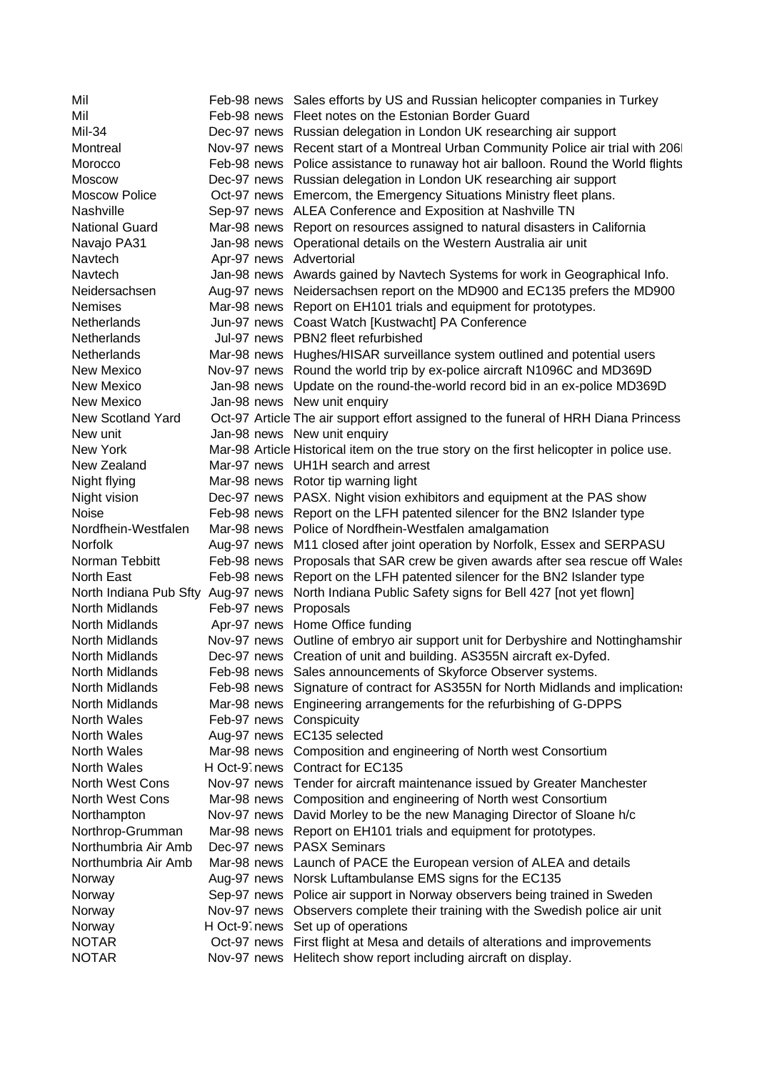| Mil                                |               | Feb-98 news Sales efforts by US and Russian helicopter companies in Turkey              |
|------------------------------------|---------------|-----------------------------------------------------------------------------------------|
| Mil                                |               | Feb-98 news Fleet notes on the Estonian Border Guard                                    |
| <b>Mil-34</b>                      |               | Dec-97 news Russian delegation in London UK researching air support                     |
| Montreal                           | Nov-97 news   | Recent start of a Montreal Urban Community Police air trial with 206                    |
| Morocco                            | Feb-98 news   | Police assistance to runaway hot air balloon. Round the World flights                   |
| <b>Moscow</b>                      | Dec-97 news   | Russian delegation in London UK researching air support                                 |
| <b>Moscow Police</b>               | Oct-97 news   | Emercom, the Emergency Situations Ministry fleet plans.                                 |
| Nashville                          |               | Sep-97 news ALEA Conference and Exposition at Nashville TN                              |
| <b>National Guard</b>              | Mar-98 news   | Report on resources assigned to natural disasters in California                         |
| Navajo PA31                        | Jan-98 news   | Operational details on the Western Australia air unit                                   |
| Navtech                            | Apr-97 news   | Advertorial                                                                             |
| Navtech                            | Jan-98 news   | Awards gained by Navtech Systems for work in Geographical Info.                         |
| Neidersachsen                      | Aug-97 news   | Neidersachsen report on the MD900 and EC135 prefers the MD900                           |
| Nemises                            | Mar-98 news   | Report on EH101 trials and equipment for prototypes.                                    |
| Netherlands                        | Jun-97 news   | Coast Watch [Kustwacht] PA Conference                                                   |
| <b>Netherlands</b>                 |               | Jul-97 news PBN2 fleet refurbished                                                      |
| Netherlands                        |               | Mar-98 news Hughes/HISAR surveillance system outlined and potential users               |
| New Mexico                         |               | Nov-97 news Round the world trip by ex-police aircraft N1096C and MD369D                |
| New Mexico                         |               | Jan-98 news Update on the round-the-world record bid in an ex-police MD369D             |
| New Mexico                         |               | Jan-98 news New unit enquiry                                                            |
| <b>New Scotland Yard</b>           |               | Oct-97 Article The air support effort assigned to the funeral of HRH Diana Princess     |
| New unit                           |               | Jan-98 news New unit enquiry                                                            |
| New York                           |               | Mar-98 Article Historical item on the true story on the first helicopter in police use. |
| New Zealand                        |               | Mar-97 news UH1H search and arrest                                                      |
| Night flying                       |               | Mar-98 news Rotor tip warning light                                                     |
| Night vision                       | Dec-97 news   | PASX. Night vision exhibitors and equipment at the PAS show                             |
| Noise                              | Feb-98 news   | Report on the LFH patented silencer for the BN2 Islander type                           |
| Nordfhein-Westfalen                |               | Mar-98 news Police of Nordfhein-Westfalen amalgamation                                  |
| <b>Norfolk</b>                     | Aug-97 news   | M11 closed after joint operation by Norfolk, Essex and SERPASU                          |
| Norman Tebbitt                     | Feb-98 news   | Proposals that SAR crew be given awards after sea rescue off Wales                      |
| North East                         | Feb-98 news   | Report on the LFH patented silencer for the BN2 Islander type                           |
| North Indiana Pub Sfty Aug-97 news |               | North Indiana Public Safety signs for Bell 427 [not yet flown]                          |
| North Midlands                     | Feb-97 news   | Proposals                                                                               |
| <b>North Midlands</b>              | Apr-97 news   | Home Office funding                                                                     |
| <b>North Midlands</b>              | Nov-97 news   | Outline of embryo air support unit for Derbyshire and Nottinghamshir                    |
| North Midlands                     | Dec-97 news   | Creation of unit and building. AS355N aircraft ex-Dyfed.                                |
| North Midlands                     |               | Feb-98 news Sales announcements of Skyforce Observer systems.                           |
| North Midlands                     | Feb-98 news   | Signature of contract for AS355N for North Midlands and implications                    |
| North Midlands                     | Mar-98 news   | Engineering arrangements for the refurbishing of G-DPPS                                 |
| North Wales                        | Feb-97 news   | Conspicuity                                                                             |
| North Wales                        | Aug-97 news   | EC135 selected                                                                          |
| North Wales                        | Mar-98 news   | Composition and engineering of North west Consortium                                    |
| North Wales                        | H Oct-9 news  | Contract for EC135                                                                      |
| North West Cons                    | Nov-97 news   | Tender for aircraft maintenance issued by Greater Manchester                            |
| North West Cons                    | Mar-98 news   | Composition and engineering of North west Consortium                                    |
| Northampton                        | Nov-97 news   | David Morley to be the new Managing Director of Sloane h/c                              |
| Northrop-Grumman                   | Mar-98 news   | Report on EH101 trials and equipment for prototypes.                                    |
| Northumbria Air Amb                | Dec-97 news   | <b>PASX Seminars</b>                                                                    |
| Northumbria Air Amb                | Mar-98 news   | Launch of PACE the European version of ALEA and details                                 |
| Norway                             | Aug-97 news   | Norsk Luftambulanse EMS signs for the EC135                                             |
| Norway                             | Sep-97 news   | Police air support in Norway observers being trained in Sweden                          |
| Norway                             | Nov-97 news   | Observers complete their training with the Swedish police air unit                      |
| Norway                             | H Oct-97 news | Set up of operations                                                                    |
| <b>NOTAR</b>                       | Oct-97 news   | First flight at Mesa and details of alterations and improvements                        |
| <b>NOTAR</b>                       | Nov-97 news   | Helitech show report including aircraft on display.                                     |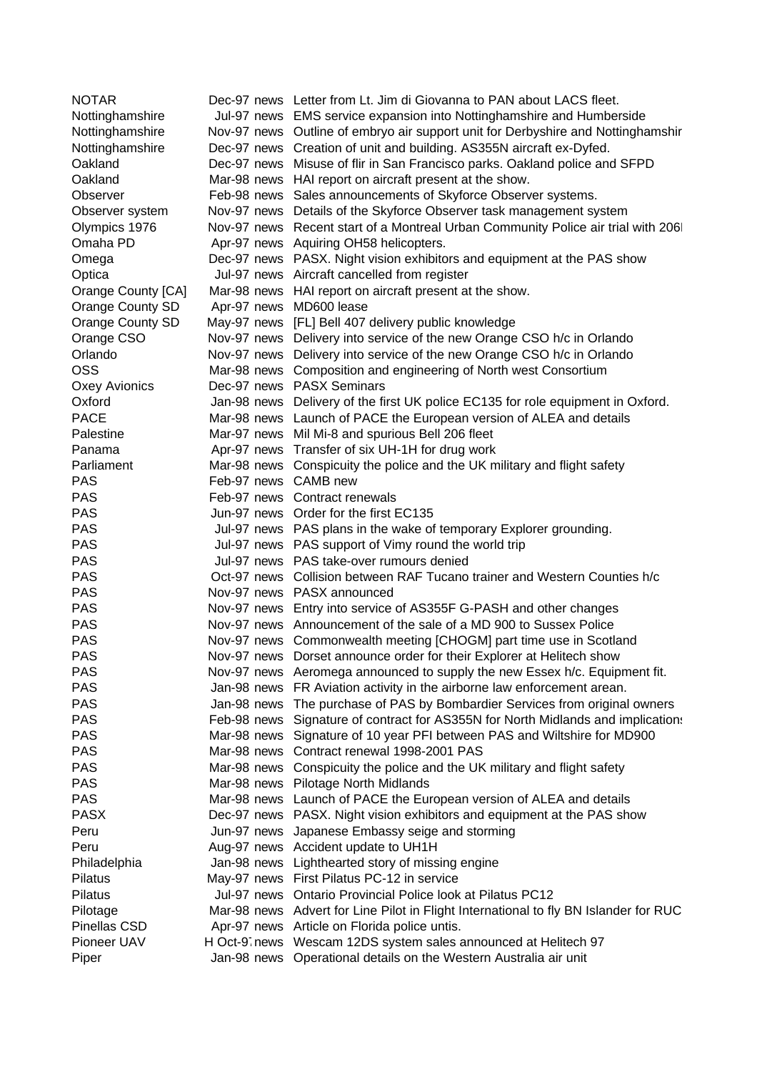| <b>NOTAR</b>         |                      | Dec-97 news Letter from Lt. Jim di Giovanna to PAN about LACS fleet.                 |
|----------------------|----------------------|--------------------------------------------------------------------------------------|
| Nottinghamshire      |                      | Jul-97 news EMS service expansion into Nottinghamshire and Humberside                |
| Nottinghamshire      |                      | Nov-97 news Outline of embryo air support unit for Derbyshire and Nottinghamshir     |
| Nottinghamshire      |                      | Dec-97 news Creation of unit and building. AS355N aircraft ex-Dyfed.                 |
| Oakland              |                      | Dec-97 news Misuse of flir in San Francisco parks. Oakland police and SFPD           |
| Oakland              |                      | Mar-98 news HAI report on aircraft present at the show.                              |
| Observer             |                      | Feb-98 news Sales announcements of Skyforce Observer systems.                        |
| Observer system      |                      | Nov-97 news Details of the Skyforce Observer task management system                  |
| Olympics 1976        |                      | Nov-97 news Recent start of a Montreal Urban Community Police air trial with 206     |
| Omaha PD             |                      | Apr-97 news Aquiring OH58 helicopters.                                               |
| Omega                |                      | Dec-97 news PASX. Night vision exhibitors and equipment at the PAS show              |
| Optica               |                      | Jul-97 news Aircraft cancelled from register                                         |
| Orange County [CA]   |                      | Mar-98 news HAI report on aircraft present at the show.                              |
| Orange County SD     |                      | Apr-97 news MD600 lease                                                              |
| Orange County SD     | May-97 news          | [FL] Bell 407 delivery public knowledge                                              |
| Orange CSO           | Nov-97 news          | Delivery into service of the new Orange CSO h/c in Orlando                           |
| Orlando              |                      | Nov-97 news Delivery into service of the new Orange CSO h/c in Orlando               |
| <b>OSS</b>           |                      | Mar-98 news Composition and engineering of North west Consortium                     |
| <b>Oxey Avionics</b> |                      | Dec-97 news PASX Seminars                                                            |
| Oxford               |                      | Jan-98 news Delivery of the first UK police EC135 for role equipment in Oxford.      |
| <b>PACE</b>          |                      | Mar-98 news Launch of PACE the European version of ALEA and details                  |
| Palestine            |                      | Mar-97 news Mil Mi-8 and spurious Bell 206 fleet                                     |
| Panama               | Apr-97 news          | Transfer of six UH-1H for drug work                                                  |
| Parliament           | Mar-98 news          | Conspicuity the police and the UK military and flight safety                         |
| <b>PAS</b>           | Feb-97 news CAMB new |                                                                                      |
| <b>PAS</b>           |                      | Feb-97 news Contract renewals                                                        |
| <b>PAS</b>           |                      | Jun-97 news Order for the first EC135                                                |
| <b>PAS</b>           |                      | Jul-97 news PAS plans in the wake of temporary Explorer grounding.                   |
| <b>PAS</b>           |                      | Jul-97 news PAS support of Vimy round the world trip                                 |
| <b>PAS</b>           |                      | Jul-97 news PAS take-over rumours denied                                             |
| <b>PAS</b>           |                      | Oct-97 news Collision between RAF Tucano trainer and Western Counties h/c            |
| <b>PAS</b>           |                      | Nov-97 news PASX announced                                                           |
| <b>PAS</b>           |                      | Nov-97 news Entry into service of AS355F G-PASH and other changes                    |
| <b>PAS</b>           |                      | Nov-97 news Announcement of the sale of a MD 900 to Sussex Police                    |
| <b>PAS</b>           |                      | Nov-97 news Commonwealth meeting [CHOGM] part time use in Scotland                   |
| <b>PAS</b>           | Nov-97 news          | Dorset announce order for their Explorer at Helitech show                            |
| <b>PAS</b>           |                      | Nov-97 news Aeromega announced to supply the new Essex h/c. Equipment fit.           |
| <b>PAS</b>           |                      | Jan-98 news FR Aviation activity in the airborne law enforcement arean.              |
| <b>PAS</b>           |                      | Jan-98 news The purchase of PAS by Bombardier Services from original owners          |
| <b>PAS</b>           |                      | Feb-98 news Signature of contract for AS355N for North Midlands and implications     |
| <b>PAS</b>           | Mar-98 news          | Signature of 10 year PFI between PAS and Wiltshire for MD900                         |
| <b>PAS</b>           |                      | Mar-98 news Contract renewal 1998-2001 PAS                                           |
| <b>PAS</b>           |                      | Mar-98 news Conspicuity the police and the UK military and flight safety             |
| <b>PAS</b>           |                      | Mar-98 news Pilotage North Midlands                                                  |
| <b>PAS</b>           |                      | Mar-98 news Launch of PACE the European version of ALEA and details                  |
| <b>PASX</b>          |                      | Dec-97 news PASX. Night vision exhibitors and equipment at the PAS show              |
| Peru                 | Jun-97 news          | Japanese Embassy seige and storming                                                  |
| Peru                 |                      | Aug-97 news Accident update to UH1H                                                  |
| Philadelphia         | Jan-98 news          | Lighthearted story of missing engine                                                 |
| Pilatus              |                      | May-97 news First Pilatus PC-12 in service                                           |
| Pilatus              |                      | Jul-97 news Ontario Provincial Police look at Pilatus PC12                           |
| Pilotage             |                      | Mar-98 news Advert for Line Pilot in Flight International to fly BN Islander for RUC |
| <b>Pinellas CSD</b>  |                      | Apr-97 news Article on Florida police untis.                                         |
| Pioneer UAV          | H Oct-9 news         | Wescam 12DS system sales announced at Helitech 97                                    |
| Piper                |                      | Jan-98 news Operational details on the Western Australia air unit                    |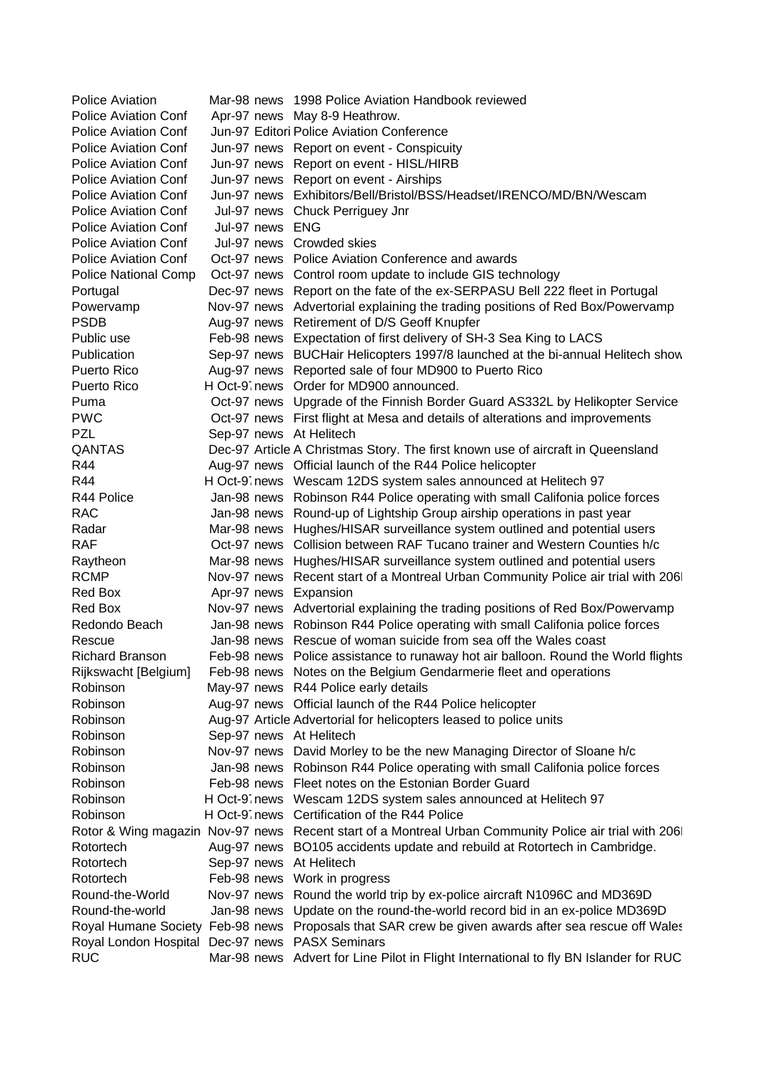Police Aviation Mar-98 news 1998 Police Aviation Handbook reviewed Police Aviation Conf Apr-97 news May 8-9 Heathrow. Police Aviation Conf Jun-97 Editori Police Aviation Conference Police Aviation Conf Jun-97 news Report on event - Conspicuity Police Aviation Conf Jun-97 news Report on event - HISL/HIRB Police Aviation Conf Jun-97 news Report on event - Airships Police Aviation Conf Jun-97 news Exhibitors/Bell/Bristol/BSS/Headset/IRENCO/MD/BN/Wescam Police Aviation Conf Jul-97 news Chuck Perriquey Jnr Police Aviation Conf Jul-97 news ENG Police Aviation Conf Jul-97 news Crowded skies Police Aviation Conf Oct-97 news Police Aviation Conference and awards Police National Comp Oct-97 news Control room update to include GIS technology Portugal Dec-97 news Report on the fate of the ex-SERPASU Bell 222 fleet in Portugal Powervamp Nov-97 news Advertorial explaining the trading positions of Red Box/Powervamp PSDB Aug-97 news Retirement of D/S Geoff Knupfer Public use Feb-98 news Expectation of first delivery of SH-3 Sea King to LACS Publication Sep-97 news BUCHair Helicopters 1997/8 launched at the bi-annual Helitech show Puerto Rico Aug-97 news Reported sale of four MD900 to Puerto Rico Puerto Rico **H** Oct-9<sup>7</sup> news Order for MD900 announced. Puma Oct-97 news Upgrade of the Finnish Border Guard AS332L by Helikopter Service PWC Oct-97 news First flight at Mesa and details of alterations and improvements PZL Sep-97 news At Helitech QANTAS Dec-97 Article A Christmas Story. The first known use of aircraft in Queensland R44 Aug-97 news Official launch of the R44 Police helicopter R44 **H Oct-9**<sup>1</sup> news Wescam 12DS system sales announced at Helitech 97 R44 Police Jan-98 news Robinson R44 Police operating with small Califonia police forces RAC Jan-98 news Round-up of Lightship Group airship operations in past year Radar **Mar-98 news** Hughes/HISAR surveillance system outlined and potential users RAF Cot-97 news Collision between RAF Tucano trainer and Western Counties h/c Raytheon Mar-98 news Hughes/HISAR surveillance system outlined and potential users RCMP Nov-97 news Recent start of a Montreal Urban Community Police air trial with 206L Red Box **Apr-97** news Expansion Red Box **Nov-97** news Advertorial explaining the trading positions of Red Box/Powervamp Redondo Beach Jan-98 news Robinson R44 Police operating with small Califonia police forces Rescue **In the Jan-98 news** Rescue of woman suicide from sea off the Wales coast Richard Branson Feb-98 news Police assistance to runaway hot air balloon. Round the World flights. Rijkswacht [Belgium] Feb-98 news Notes on the Belgium Gendarmerie fleet and operations Robinson May-97 news R44 Police early details Robinson Aug-97 news Official launch of the R44 Police helicopter Robinson Aug-97 Article Advertorial for helicopters leased to police units Robinson Sep-97 news At Helitech Robinson Nov-97 news David Morley to be the new Managing Director of Sloane h/c Robinson Jan-98 news Robinson R44 Police operating with small Califonia police forces Robinson Feb-98 news Fleet notes on the Estonian Border Guard Robinson **H** Oct-9<sup>-</sup><sub>1</sub> news Wescam 12DS system sales announced at Helitech 97 Robinson **H** Oct-9<sup>7</sup>news Certification of the R44 Police Rotor & Wing magazin Nov-97 news Recent start of a Montreal Urban Community Police air trial with 206 Rotortech Aug-97 news BO105 accidents update and rebuild at Rotortech in Cambridge. Rotortech Sep-97 news At Helitech Rotortech Feb-98 news Work in progress Round-the-World Nov-97 news Round the world trip by ex-police aircraft N1096C and MD369D Round-the-world Jan-98 news Update on the round-the-world record bid in an ex-police MD369D Royal Humane Society Feb-98 news Proposals that SAR crew be given awards after sea rescue off Wales Royal London Hospital Dec-97 news PASX Seminars RUC Mar-98 news Advert for Line Pilot in Flight International to fly BN Islander for RUC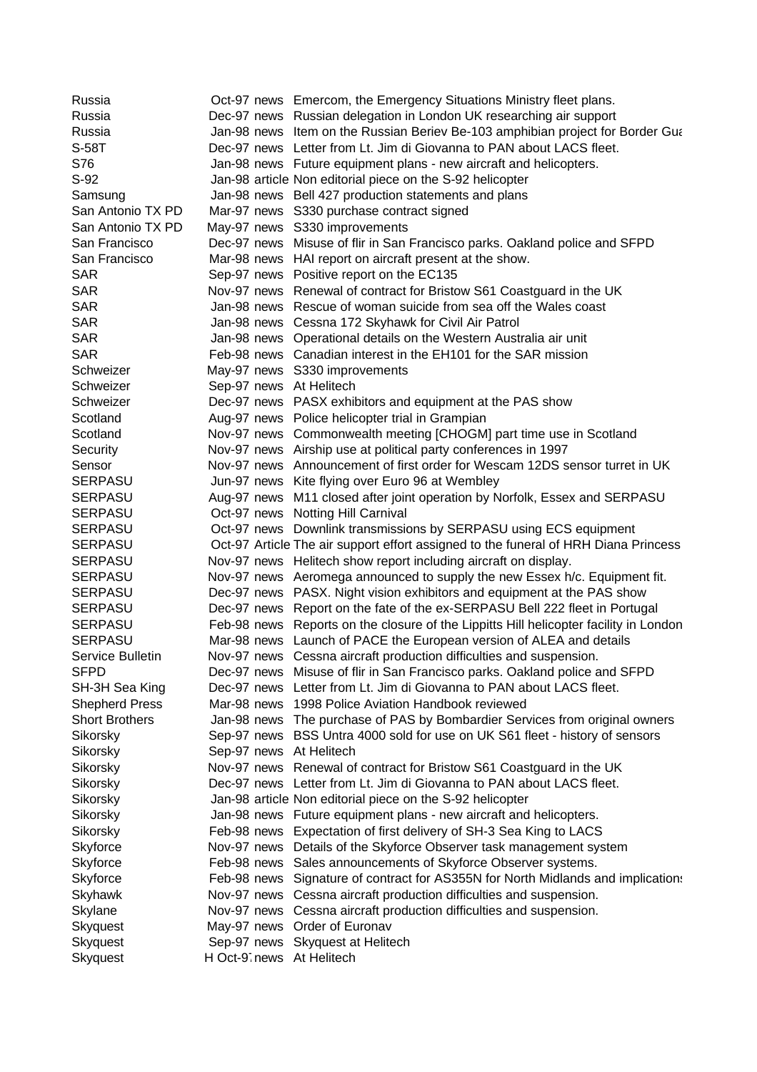| Russia                |                           | Oct-97 news Emercom, the Emergency Situations Ministry fleet plans.                   |
|-----------------------|---------------------------|---------------------------------------------------------------------------------------|
| Russia                |                           | Dec-97 news Russian delegation in London UK researching air support                   |
| Russia                |                           | Jan-98 news Item on the Russian Beriev Be-103 amphibian project for Border Gua        |
| S-58T                 |                           | Dec-97 news Letter from Lt. Jim di Giovanna to PAN about LACS fleet.                  |
| S76                   |                           | Jan-98 news Future equipment plans - new aircraft and helicopters.                    |
| S-92                  |                           | Jan-98 article Non editorial piece on the S-92 helicopter                             |
| Samsung               |                           | Jan-98 news Bell 427 production statements and plans                                  |
| San Antonio TX PD     |                           | Mar-97 news S330 purchase contract signed                                             |
| San Antonio TX PD     |                           | May-97 news S330 improvements                                                         |
| San Francisco         |                           | Dec-97 news Misuse of flir in San Francisco parks. Oakland police and SFPD            |
| San Francisco         |                           | Mar-98 news HAI report on aircraft present at the show.                               |
| <b>SAR</b>            |                           | Sep-97 news Positive report on the EC135                                              |
| <b>SAR</b>            |                           | Nov-97 news Renewal of contract for Bristow S61 Coastguard in the UK                  |
| <b>SAR</b>            |                           | Jan-98 news Rescue of woman suicide from sea off the Wales coast                      |
| <b>SAR</b>            |                           | Jan-98 news Cessna 172 Skyhawk for Civil Air Patrol                                   |
| <b>SAR</b>            |                           | Jan-98 news Operational details on the Western Australia air unit                     |
| <b>SAR</b>            |                           | Feb-98 news Canadian interest in the EH101 for the SAR mission                        |
| Schweizer             |                           | May-97 news S330 improvements                                                         |
| Schweizer             | Sep-97 news At Helitech   |                                                                                       |
| Schweizer             |                           | Dec-97 news PASX exhibitors and equipment at the PAS show                             |
| Scotland              |                           | Aug-97 news Police helicopter trial in Grampian                                       |
| Scotland              |                           | Nov-97 news Commonwealth meeting [CHOGM] part time use in Scotland                    |
| Security              |                           | Nov-97 news Airship use at political party conferences in 1997                        |
| Sensor                |                           | Nov-97 news Announcement of first order for Wescam 12DS sensor turret in UK           |
| <b>SERPASU</b>        |                           |                                                                                       |
| <b>SERPASU</b>        |                           | Jun-97 news Kite flying over Euro 96 at Wembley                                       |
|                       |                           | Aug-97 news M11 closed after joint operation by Norfolk, Essex and SERPASU            |
| <b>SERPASU</b>        |                           | Oct-97 news Notting Hill Carnival                                                     |
| <b>SERPASU</b>        |                           | Oct-97 news Downlink transmissions by SERPASU using ECS equipment                     |
| <b>SERPASU</b>        |                           | Oct-97 Article The air support effort assigned to the funeral of HRH Diana Princess   |
| <b>SERPASU</b>        |                           | Nov-97 news Helitech show report including aircraft on display.                       |
| <b>SERPASU</b>        |                           | Nov-97 news Aeromega announced to supply the new Essex h/c. Equipment fit.            |
| <b>SERPASU</b>        |                           | Dec-97 news PASX. Night vision exhibitors and equipment at the PAS show               |
| <b>SERPASU</b>        |                           | Dec-97 news Report on the fate of the ex-SERPASU Bell 222 fleet in Portugal           |
| <b>SERPASU</b>        |                           | Feb-98 news Reports on the closure of the Lippitts Hill helicopter facility in London |
| <b>SERPASU</b>        |                           | Mar-98 news Launch of PACE the European version of ALEA and details                   |
| Service Bulletin      |                           | Nov-97 news Cessna aircraft production difficulties and suspension.                   |
| <b>SFPD</b>           |                           | Dec-97 news Misuse of flir in San Francisco parks. Oakland police and SFPD            |
| SH-3H Sea King        |                           | Dec-97 news Letter from Lt. Jim di Giovanna to PAN about LACS fleet.                  |
| <b>Shepherd Press</b> |                           | Mar-98 news 1998 Police Aviation Handbook reviewed                                    |
| <b>Short Brothers</b> |                           | Jan-98 news The purchase of PAS by Bombardier Services from original owners           |
| Sikorsky              | Sep-97 news               | BSS Untra 4000 sold for use on UK S61 fleet - history of sensors                      |
| Sikorsky              | Sep-97 news At Helitech   |                                                                                       |
| Sikorsky              |                           | Nov-97 news Renewal of contract for Bristow S61 Coastguard in the UK                  |
| Sikorsky              |                           | Dec-97 news Letter from Lt. Jim di Giovanna to PAN about LACS fleet.                  |
| Sikorsky              |                           | Jan-98 article Non editorial piece on the S-92 helicopter                             |
| Sikorsky              |                           | Jan-98 news Future equipment plans - new aircraft and helicopters.                    |
| Sikorsky              |                           | Feb-98 news Expectation of first delivery of SH-3 Sea King to LACS                    |
| Skyforce              |                           | Nov-97 news Details of the Skyforce Observer task management system                   |
| Skyforce              |                           | Feb-98 news Sales announcements of Skyforce Observer systems.                         |
| Skyforce              | Feb-98 news               | Signature of contract for AS355N for North Midlands and implications                  |
| Skyhawk               |                           | Nov-97 news Cessna aircraft production difficulties and suspension.                   |
| Skylane               | Nov-97 news               | Cessna aircraft production difficulties and suspension.                               |
| Skyquest              | May-97 news               | Order of Euronav                                                                      |
| Skyquest              |                           | Sep-97 news Skyquest at Helitech                                                      |
| Skyquest              | H Oct-97 news At Helitech |                                                                                       |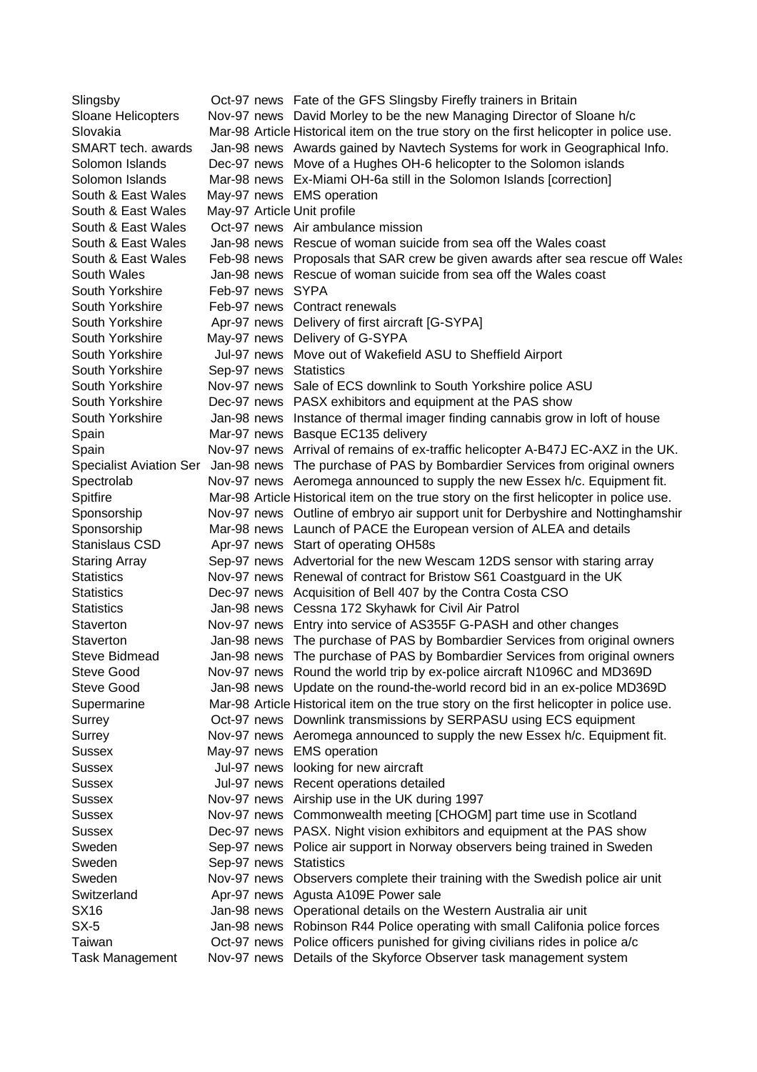| Slingsby                       |                  |             | Oct-97 news Fate of the GFS Slingsby Firefly trainers in Britain                        |
|--------------------------------|------------------|-------------|-----------------------------------------------------------------------------------------|
| Sloane Helicopters             |                  |             | Nov-97 news David Morley to be the new Managing Director of Sloane h/c                  |
| Slovakia                       |                  |             | Mar-98 Article Historical item on the true story on the first helicopter in police use. |
| SMART tech. awards             |                  |             | Jan-98 news Awards gained by Navtech Systems for work in Geographical Info.             |
| Solomon Islands                |                  |             | Dec-97 news Move of a Hughes OH-6 helicopter to the Solomon islands                     |
| Solomon Islands                |                  |             | Mar-98 news Ex-Miami OH-6a still in the Solomon Islands [correction]                    |
| South & East Wales             |                  |             | May-97 news EMS operation                                                               |
| South & East Wales             |                  |             | May-97 Article Unit profile                                                             |
| South & East Wales             |                  |             | Oct-97 news Air ambulance mission                                                       |
| South & East Wales             |                  |             | Jan-98 news Rescue of woman suicide from sea off the Wales coast                        |
| South & East Wales             |                  |             | Feb-98 news Proposals that SAR crew be given awards after sea rescue off Wales          |
| South Wales                    |                  |             | Jan-98 news Rescue of woman suicide from sea off the Wales coast                        |
| South Yorkshire                | Feb-97 news SYPA |             |                                                                                         |
| South Yorkshire                |                  |             | Feb-97 news Contract renewals                                                           |
| South Yorkshire                |                  |             | Apr-97 news Delivery of first aircraft [G-SYPA]                                         |
| South Yorkshire                |                  |             | May-97 news Delivery of G-SYPA                                                          |
| South Yorkshire                |                  | Jul-97 news | Move out of Wakefield ASU to Sheffield Airport                                          |
| South Yorkshire                |                  |             | Sep-97 news Statistics                                                                  |
| South Yorkshire                |                  |             | Nov-97 news Sale of ECS downlink to South Yorkshire police ASU                          |
| South Yorkshire                |                  |             | Dec-97 news PASX exhibitors and equipment at the PAS show                               |
| South Yorkshire                |                  |             | Jan-98 news Instance of thermal imager finding cannabis grow in loft of house           |
| Spain                          |                  |             | Mar-97 news Basque EC135 delivery                                                       |
| Spain                          |                  |             | Nov-97 news Arrival of remains of ex-traffic helicopter A-B47J EC-AXZ in the UK.        |
| <b>Specialist Aviation Ser</b> | Jan-98 news      |             | The purchase of PAS by Bombardier Services from original owners                         |
| Spectrolab                     |                  |             | Nov-97 news Aeromega announced to supply the new Essex h/c. Equipment fit.              |
| Spitfire                       |                  |             | Mar-98 Article Historical item on the true story on the first helicopter in police use. |
| Sponsorship                    |                  |             | Nov-97 news Outline of embryo air support unit for Derbyshire and Nottinghamshir        |
| Sponsorship                    |                  |             | Mar-98 news Launch of PACE the European version of ALEA and details                     |
| Stanislaus CSD                 |                  |             | Apr-97 news Start of operating OH58s                                                    |
| <b>Staring Array</b>           |                  |             | Sep-97 news Advertorial for the new Wescam 12DS sensor with staring array               |
| <b>Statistics</b>              |                  |             | Nov-97 news Renewal of contract for Bristow S61 Coastguard in the UK                    |
| <b>Statistics</b>              |                  |             | Dec-97 news Acquisition of Bell 407 by the Contra Costa CSO                             |
| <b>Statistics</b>              |                  |             | Jan-98 news Cessna 172 Skyhawk for Civil Air Patrol                                     |
| Staverton                      |                  |             | Nov-97 news Entry into service of AS355F G-PASH and other changes                       |
| Staverton                      |                  |             | Jan-98 news The purchase of PAS by Bombardier Services from original owners             |
| Steve Bidmead                  | Jan-98 news      |             | The purchase of PAS by Bombardier Services from original owners                         |
| <b>Steve Good</b>              |                  |             | Nov-97 news Round the world trip by ex-police aircraft N1096C and MD369D                |
| <b>Steve Good</b>              |                  |             | Jan-98 news Update on the round-the-world record bid in an ex-police MD369D             |
| Supermarine                    |                  |             | Mar-98 Article Historical item on the true story on the first helicopter in police use. |
| Surrey                         |                  |             | Oct-97 news Downlink transmissions by SERPASU using ECS equipment                       |
| Surrey                         |                  |             | Nov-97 news Aeromega announced to supply the new Essex h/c. Equipment fit.              |
| <b>Sussex</b>                  | May-97 news      |             | <b>EMS</b> operation                                                                    |
| <b>Sussex</b>                  |                  |             | Jul-97 news looking for new aircraft                                                    |
| <b>Sussex</b>                  |                  |             | Jul-97 news Recent operations detailed                                                  |
| <b>Sussex</b>                  |                  |             | Nov-97 news Airship use in the UK during 1997                                           |
| <b>Sussex</b>                  |                  |             | Nov-97 news Commonwealth meeting [CHOGM] part time use in Scotland                      |
| Sussex                         |                  |             | Dec-97 news PASX. Night vision exhibitors and equipment at the PAS show                 |
| Sweden                         | Sep-97 news      |             | Police air support in Norway observers being trained in Sweden                          |
| Sweden                         | Sep-97 news      |             | <b>Statistics</b>                                                                       |
| Sweden                         | Nov-97 news      |             | Observers complete their training with the Swedish police air unit                      |
| Switzerland                    | Apr-97 news      |             | Agusta A109E Power sale                                                                 |
| <b>SX16</b>                    | Jan-98 news      |             | Operational details on the Western Australia air unit                                   |
| $SX-5$                         | Jan-98 news      |             | Robinson R44 Police operating with small Califonia police forces                        |
| Taiwan                         | Oct-97 news      |             | Police officers punished for giving civilians rides in police a/c                       |
| <b>Task Management</b>         | Nov-97 news      |             | Details of the Skyforce Observer task management system                                 |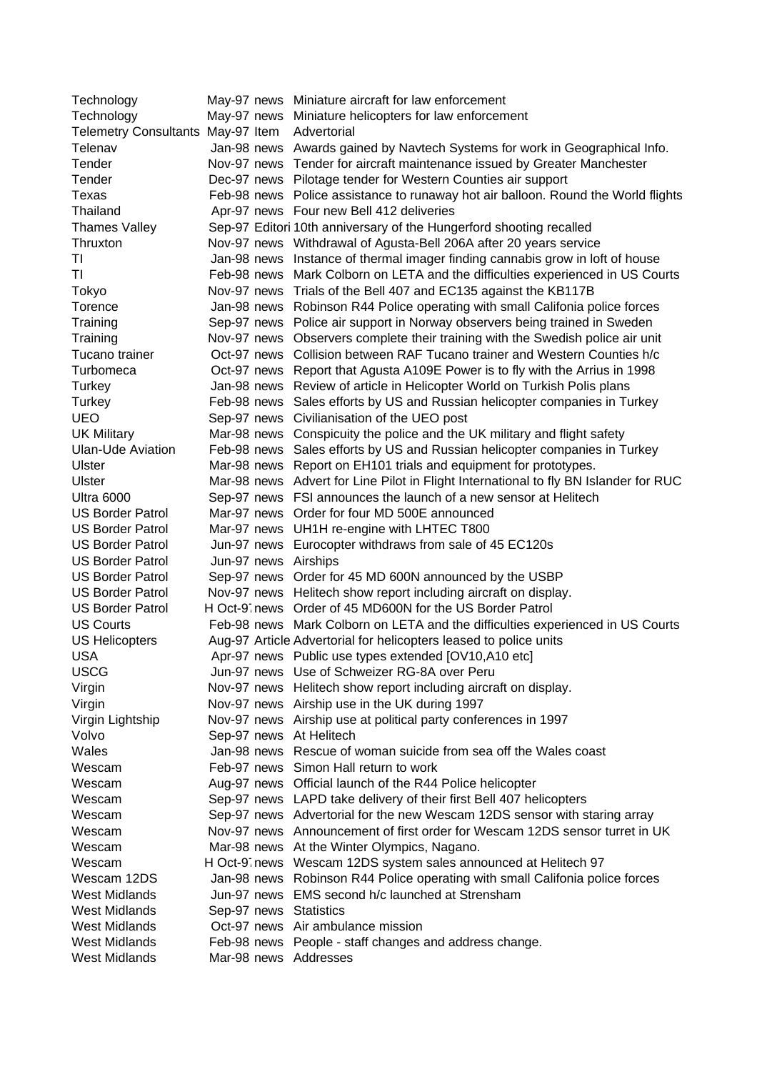| Technology                   |                         | May-97 news Miniature aircraft for law enforcement                                   |
|------------------------------|-------------------------|--------------------------------------------------------------------------------------|
| Technology                   |                         | May-97 news Miniature helicopters for law enforcement                                |
| <b>Telemetry Consultants</b> | May-97 Item             | Advertorial                                                                          |
| Telenav                      |                         | Jan-98 news Awards gained by Navtech Systems for work in Geographical Info.          |
| Tender                       |                         | Nov-97 news Tender for aircraft maintenance issued by Greater Manchester             |
| Tender                       |                         | Dec-97 news Pilotage tender for Western Counties air support                         |
| Texas                        |                         | Feb-98 news Police assistance to runaway hot air balloon. Round the World flights    |
| Thailand                     |                         | Apr-97 news Four new Bell 412 deliveries                                             |
| <b>Thames Valley</b>         |                         | Sep-97 Editori 10th anniversary of the Hungerford shooting recalled                  |
| Thruxton                     |                         | Nov-97 news Withdrawal of Agusta-Bell 206A after 20 years service                    |
| ΤI                           |                         | Jan-98 news Instance of thermal imager finding cannabis grow in loft of house        |
| TI                           |                         | Feb-98 news Mark Colborn on LETA and the difficulties experienced in US Courts       |
| Tokyo                        |                         | Nov-97 news Trials of the Bell 407 and EC135 against the KB117B                      |
| Torence                      |                         | Jan-98 news Robinson R44 Police operating with small Califonia police forces         |
| Training                     |                         | Sep-97 news Police air support in Norway observers being trained in Sweden           |
| Training                     |                         | Nov-97 news Observers complete their training with the Swedish police air unit       |
| Tucano trainer               |                         | Oct-97 news Collision between RAF Tucano trainer and Western Counties h/c            |
| Turbomeca                    |                         | Oct-97 news Report that Agusta A109E Power is to fly with the Arrius in 1998         |
| Turkey                       |                         | Jan-98 news Review of article in Helicopter World on Turkish Polis plans             |
| Turkey                       |                         | Feb-98 news Sales efforts by US and Russian helicopter companies in Turkey           |
| <b>UEO</b>                   |                         | Sep-97 news Civilianisation of the UEO post                                          |
| <b>UK Military</b>           | Mar-98 news             | Conspicuity the police and the UK military and flight safety                         |
| <b>Ulan-Ude Aviation</b>     | Feb-98 news             | Sales efforts by US and Russian helicopter companies in Turkey                       |
| Ulster                       | Mar-98 news             | Report on EH101 trials and equipment for prototypes.                                 |
| Ulster                       |                         | Mar-98 news Advert for Line Pilot in Flight International to fly BN Islander for RUC |
| Ultra 6000                   |                         | Sep-97 news FSI announces the launch of a new sensor at Helitech                     |
| <b>US Border Patrol</b>      |                         | Mar-97 news Order for four MD 500E announced                                         |
| <b>US Border Patrol</b>      |                         | Mar-97 news UH1H re-engine with LHTEC T800                                           |
| <b>US Border Patrol</b>      |                         | Jun-97 news Eurocopter withdraws from sale of 45 EC120s                              |
| <b>US Border Patrol</b>      | Jun-97 news Airships    |                                                                                      |
| <b>US Border Patrol</b>      |                         | Sep-97 news Order for 45 MD 600N announced by the USBP                               |
| <b>US Border Patrol</b>      |                         | Nov-97 news Helitech show report including aircraft on display.                      |
| <b>US Border Patrol</b>      |                         | H Oct-97 news Order of 45 MD600N for the US Border Patrol                            |
| <b>US Courts</b>             |                         | Feb-98 news Mark Colborn on LETA and the difficulties experienced in US Courts       |
| <b>US Helicopters</b>        |                         | Aug-97 Article Advertorial for helicopters leased to police units                    |
| <b>USA</b>                   |                         | Apr-97 news Public use types extended [OV10,A10 etc]                                 |
| <b>USCG</b>                  |                         | Jun-97 news Use of Schweizer RG-8A over Peru                                         |
| Virgin                       |                         | Nov-97 news Helitech show report including aircraft on display.                      |
| Virgin                       |                         | Nov-97 news Airship use in the UK during 1997                                        |
| Virgin Lightship             |                         | Nov-97 news Airship use at political party conferences in 1997                       |
| Volvo                        | Sep-97 news At Helitech |                                                                                      |
| Wales                        |                         | Jan-98 news Rescue of woman suicide from sea off the Wales coast                     |
| Wescam                       |                         | Feb-97 news Simon Hall return to work                                                |
| Wescam                       |                         | Aug-97 news Official launch of the R44 Police helicopter                             |
| Wescam                       |                         | Sep-97 news LAPD take delivery of their first Bell 407 helicopters                   |
| Wescam                       |                         | Sep-97 news Advertorial for the new Wescam 12DS sensor with staring array            |
| Wescam                       |                         | Nov-97 news Announcement of first order for Wescam 12DS sensor turret in UK          |
| Wescam                       |                         | Mar-98 news At the Winter Olympics, Nagano.                                          |
| Wescam                       |                         | H Oct-97 news Wescam 12DS system sales announced at Helitech 97                      |
| Wescam 12DS                  |                         | Jan-98 news Robinson R44 Police operating with small Califonia police forces         |
| West Midlands                |                         | Jun-97 news EMS second h/c launched at Strensham                                     |
| West Midlands                | Sep-97 news Statistics  |                                                                                      |
| <b>West Midlands</b>         |                         | Oct-97 news Air ambulance mission                                                    |
| <b>West Midlands</b>         |                         | Feb-98 news People - staff changes and address change.                               |
| <b>West Midlands</b>         | Mar-98 news Addresses   |                                                                                      |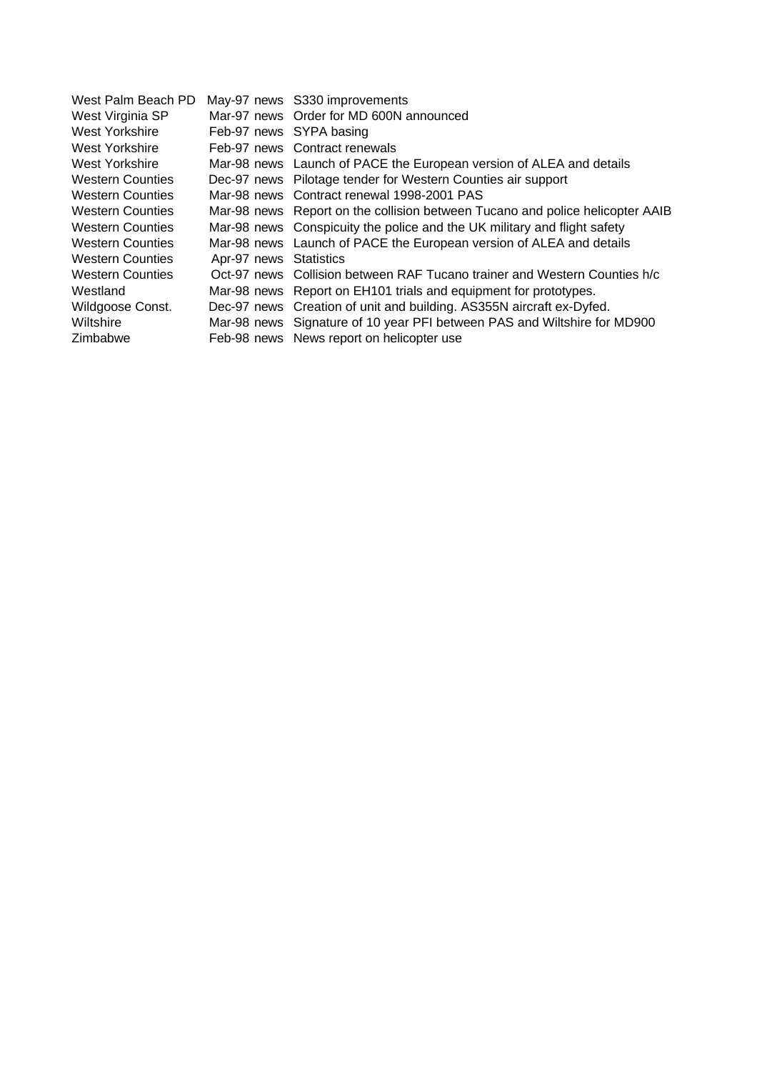| West Palm Beach PD      |                        | May-97 news S330 improvements                                                 |
|-------------------------|------------------------|-------------------------------------------------------------------------------|
| West Virginia SP        |                        | Mar-97 news Order for MD 600N announced                                       |
| West Yorkshire          |                        | Feb-97 news SYPA basing                                                       |
| West Yorkshire          |                        | Feb-97 news Contract renewals                                                 |
| West Yorkshire          |                        | Mar-98 news Launch of PACE the European version of ALEA and details           |
| <b>Western Counties</b> |                        | Dec-97 news Pilotage tender for Western Counties air support                  |
| <b>Western Counties</b> |                        | Mar-98 news Contract renewal 1998-2001 PAS                                    |
| <b>Western Counties</b> |                        | Mar-98 news Report on the collision between Tucano and police helicopter AAIB |
| <b>Western Counties</b> |                        | Mar-98 news Conspicuity the police and the UK military and flight safety      |
| <b>Western Counties</b> |                        | Mar-98 news Launch of PACE the European version of ALEA and details           |
| <b>Western Counties</b> | Apr-97 news Statistics |                                                                               |
| <b>Western Counties</b> |                        | Oct-97 news Collision between RAF Tucano trainer and Western Counties h/c     |
| Westland                |                        | Mar-98 news Report on EH101 trials and equipment for prototypes.              |
| Wildgoose Const.        |                        | Dec-97 news Creation of unit and building. AS355N aircraft ex-Dyfed.          |
| Wiltshire               |                        | Mar-98 news Signature of 10 year PFI between PAS and Wiltshire for MD900      |
| Zimbabwe                |                        | Feb-98 news News report on helicopter use                                     |
|                         |                        |                                                                               |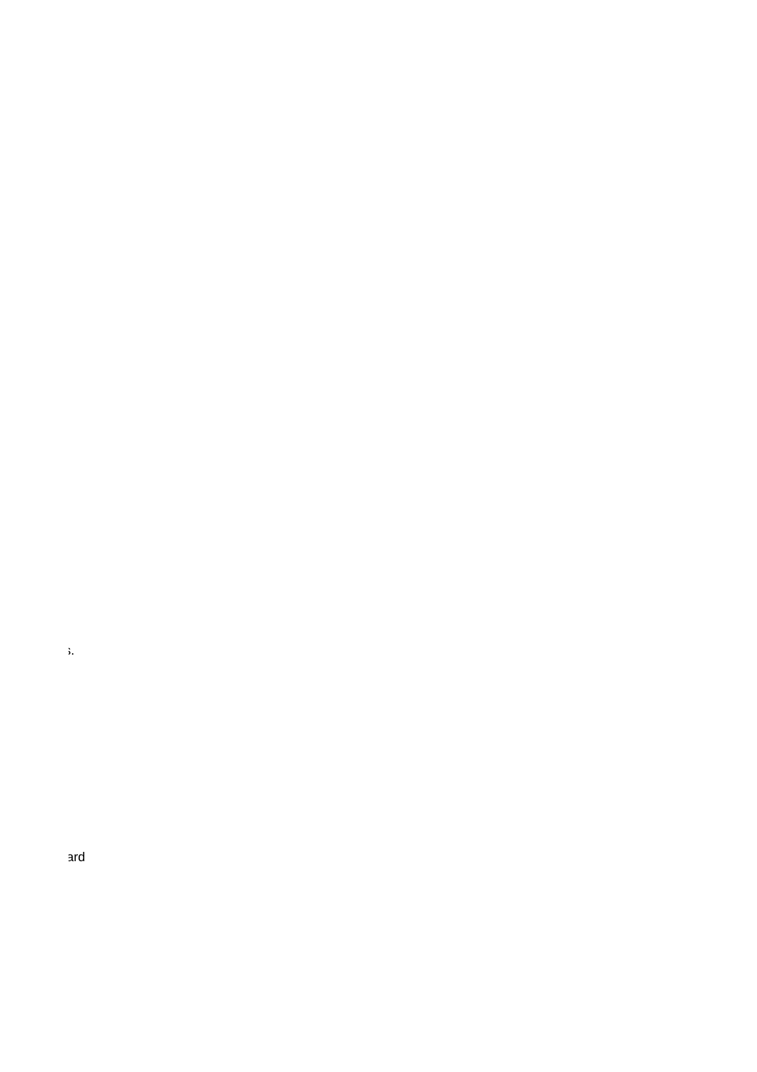Police assistance to runaway hot air balloon. Round the World flights.

Item on the Russian Beriev Be-103 amphibian project for Border Guard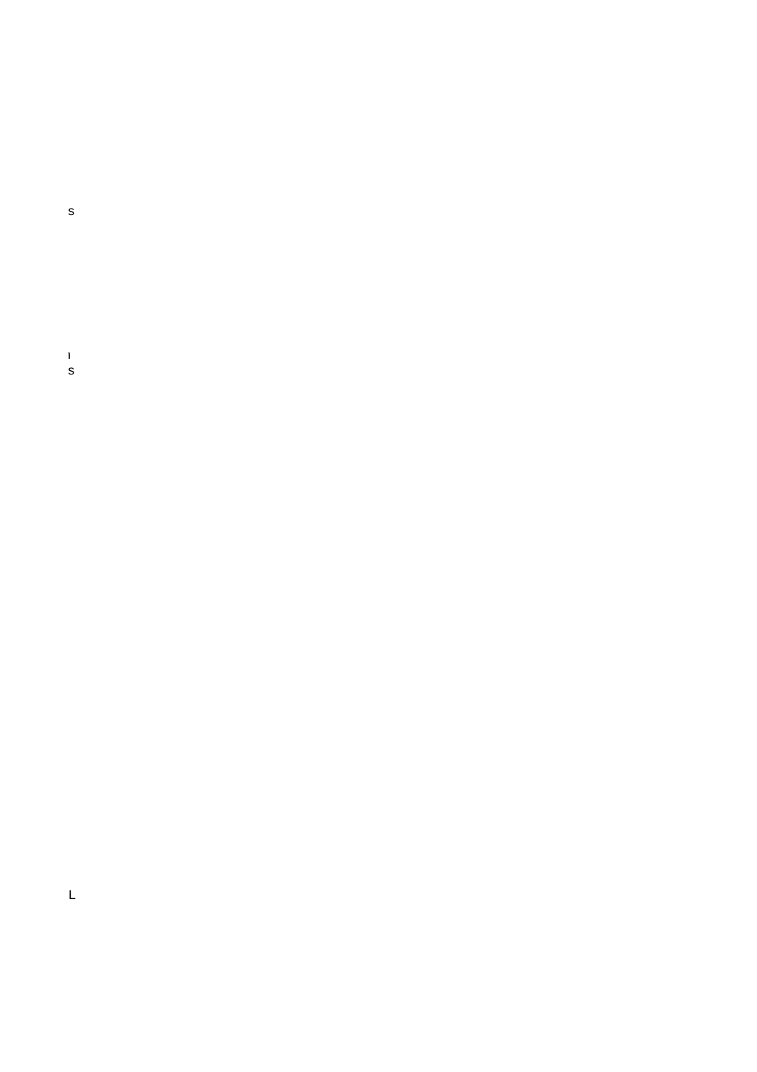$\sf{s}$ 

 $\frac{1}{s}$ 

 $\mathsf{L}% _{0}\left( \mathsf{L}_{0}\right) ^{\ast }=\mathsf{L}_{0}\left( \mathsf{L}_{0}\right) ^{\ast }$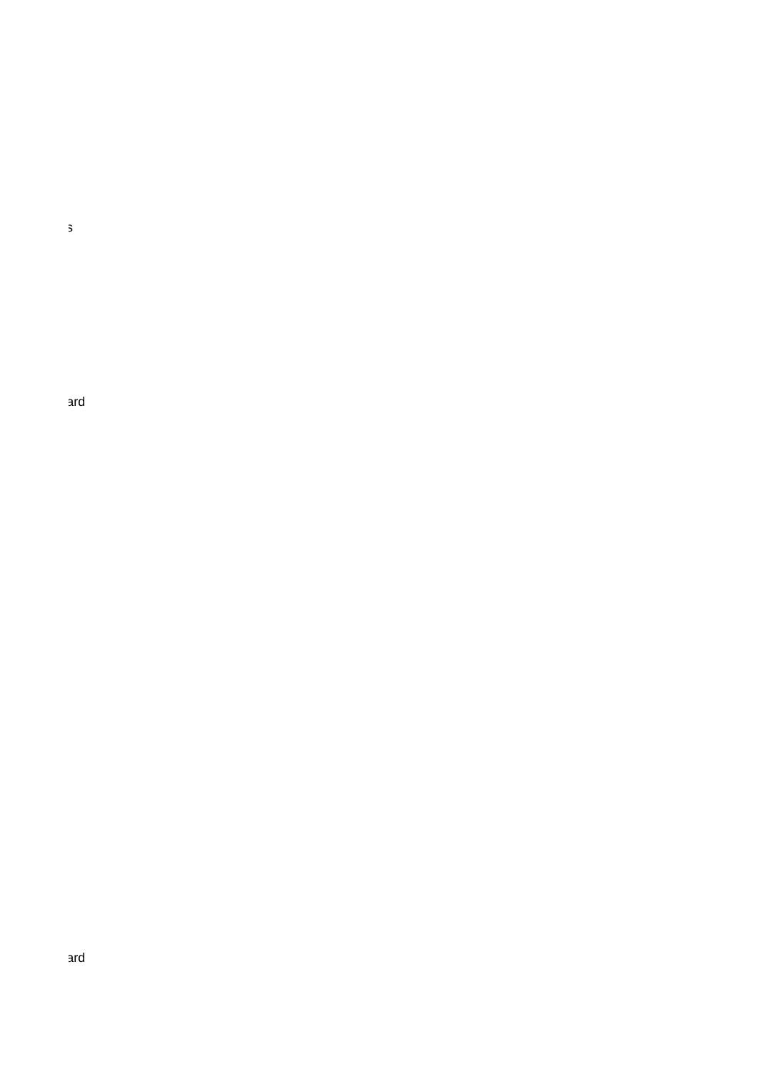Proposals that SAR crew be given awards after sea rescue off Wales

Item on the Russian Beriev Be-103 amphibian project for Border Guard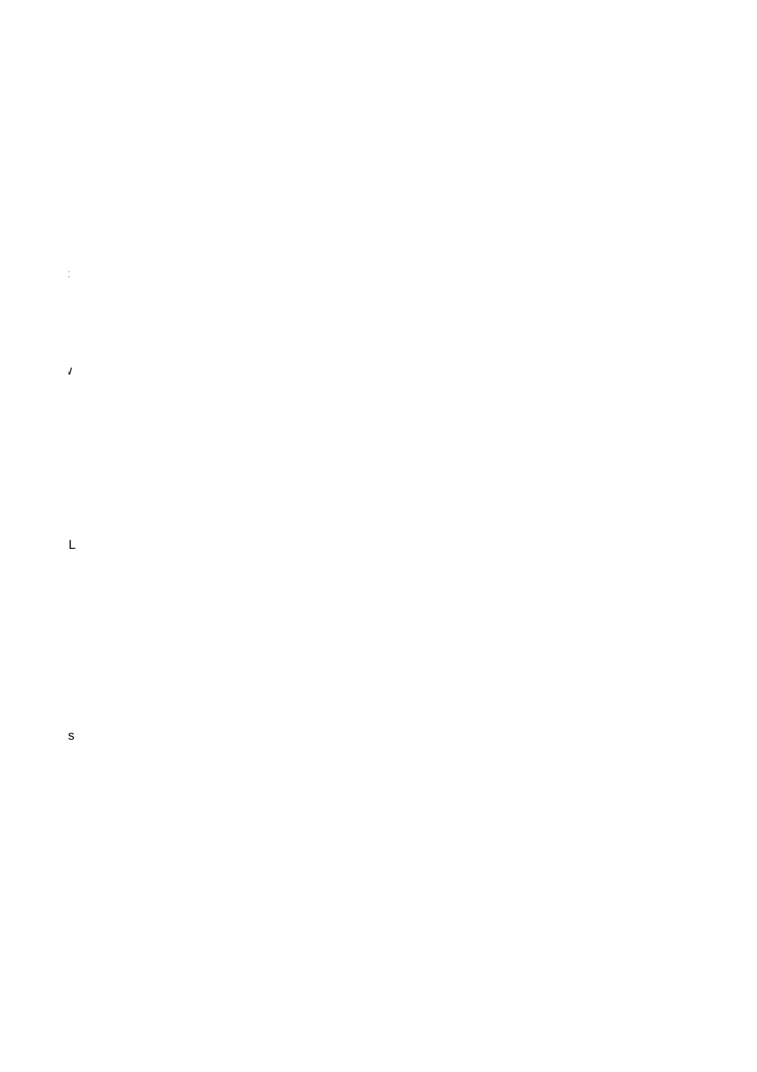$\mathcal{A}(\mathcal{A})$  and  $\mathcal{A}(\mathcal{A})$  $\mathbf{V}$ 

 $\mathsf{L}^\parallel$ 

 $S$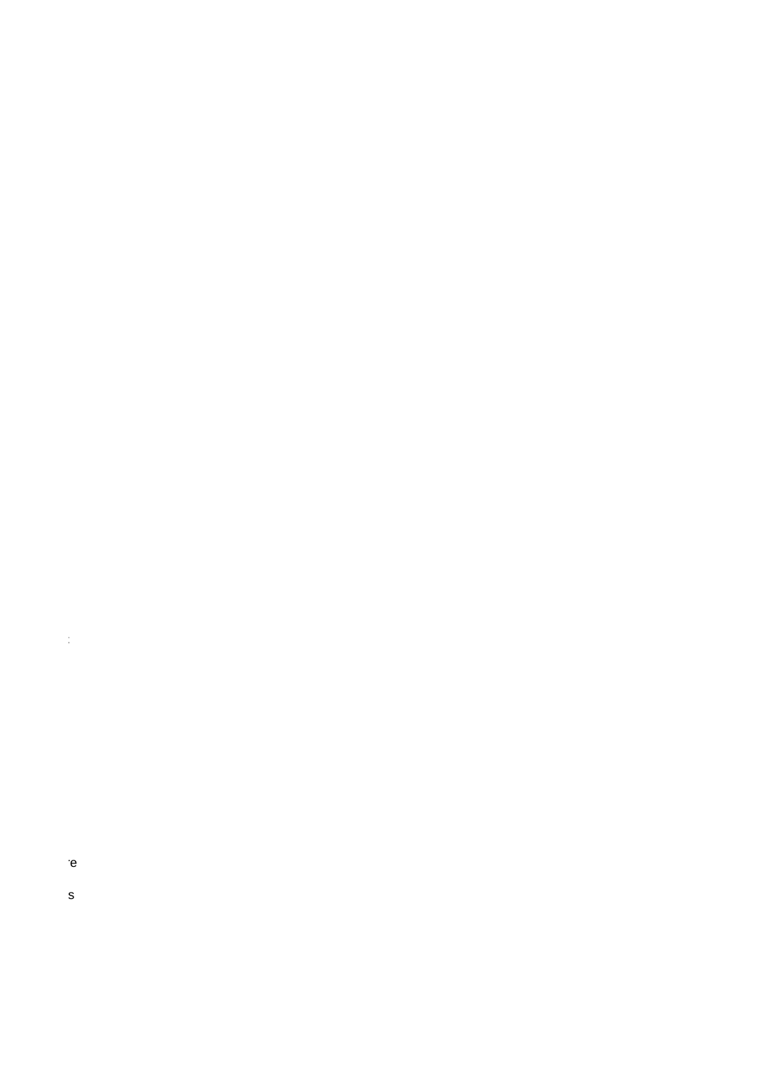$\label{eq:2.1} \frac{1}{2} \int_{\mathbb{R}^3} \frac{1}{\sqrt{2}} \, \frac{1}{\sqrt{2}} \, \frac{1}{\sqrt{2}} \, \frac{1}{\sqrt{2}} \, \frac{1}{\sqrt{2}} \, \frac{1}{\sqrt{2}} \, \frac{1}{\sqrt{2}} \, \frac{1}{\sqrt{2}} \, \frac{1}{\sqrt{2}} \, \frac{1}{\sqrt{2}} \, \frac{1}{\sqrt{2}} \, \frac{1}{\sqrt{2}} \, \frac{1}{\sqrt{2}} \, \frac{1}{\sqrt{2}} \, \frac{1}{\sqrt{2}} \, \frac{1}{\sqrt{2}} \,$ 

 $\ddot{\text{e}}$  $\mathbf{s}$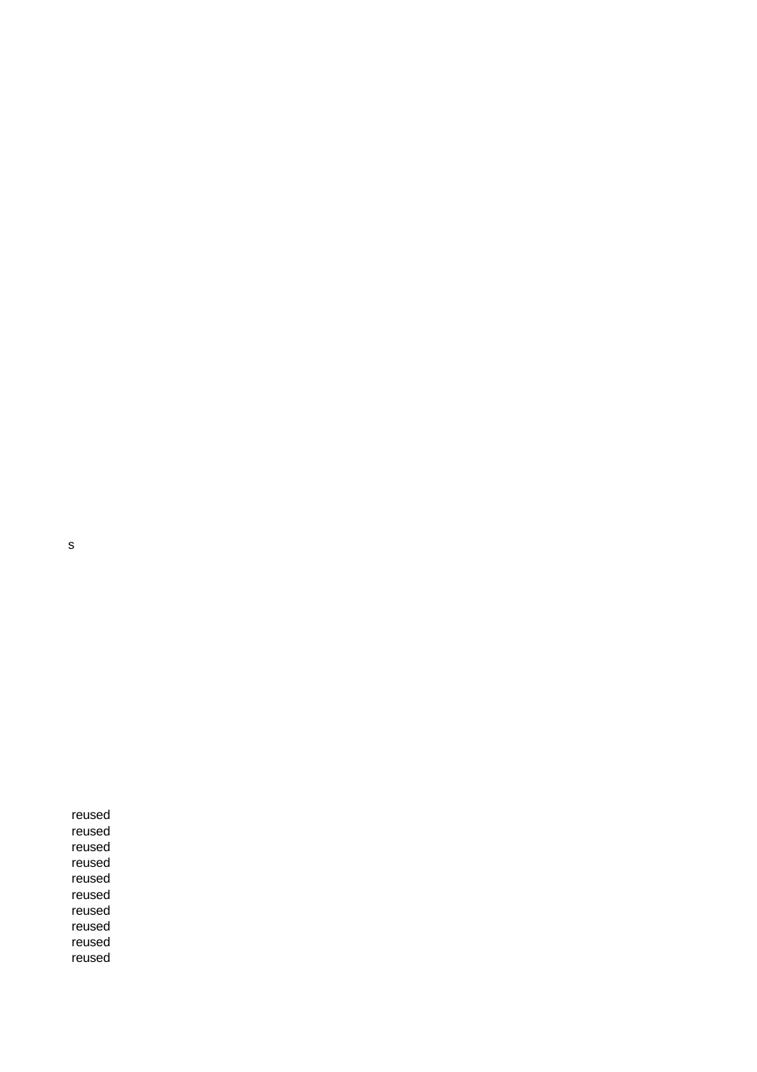$S_3$  for  $S_3$ 

reused reused reused reused reused reused reused reused reused reused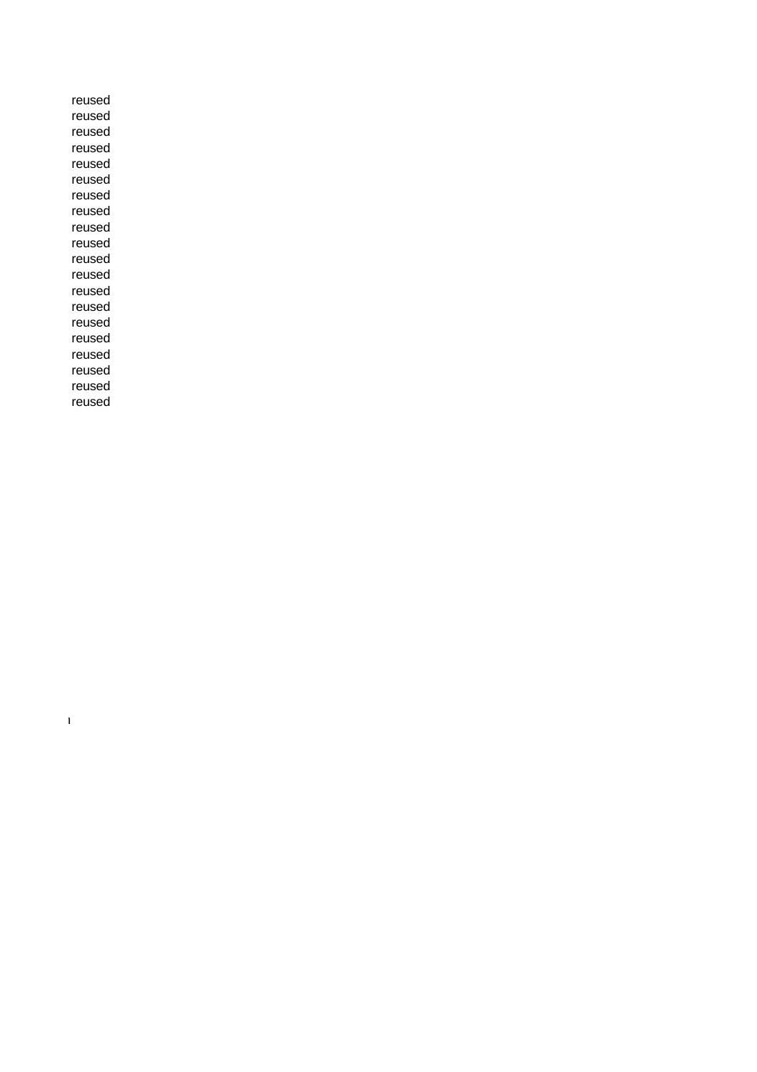reused reused reused reused reused reused reused reused reused reused reused reused reused reused reused reused reused reused reused reused

Reports on the closure of the Lippitts Hill helicopter facility in London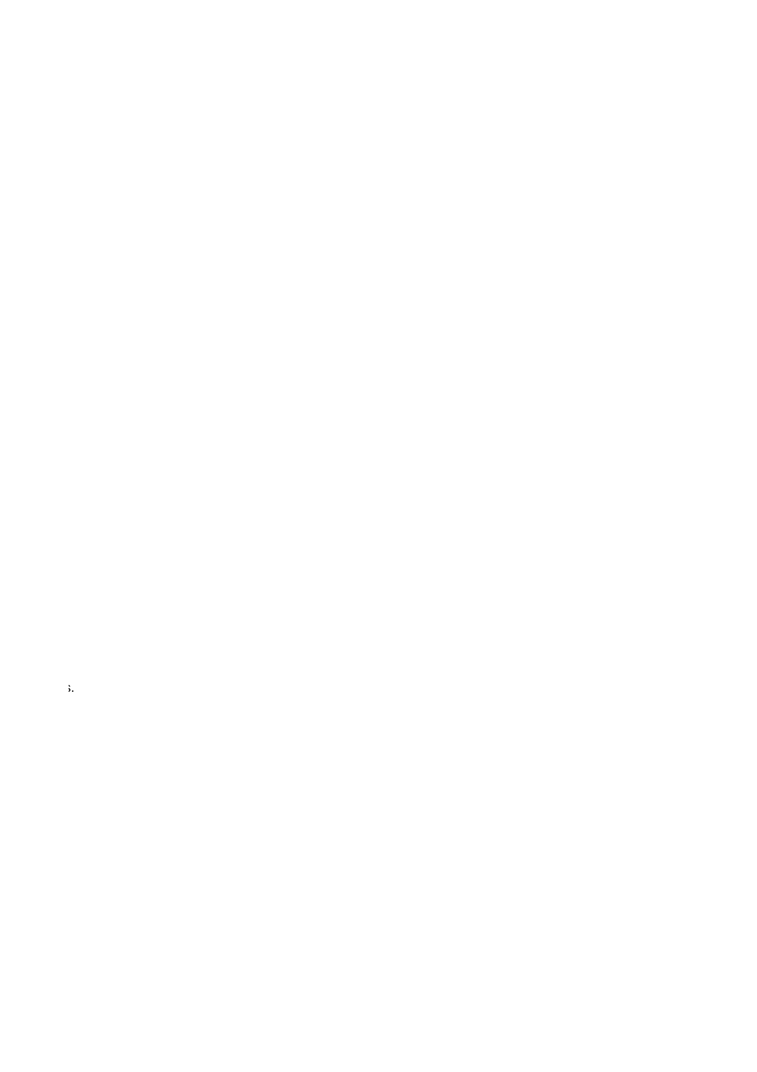$\bar{\mathbf{5}}$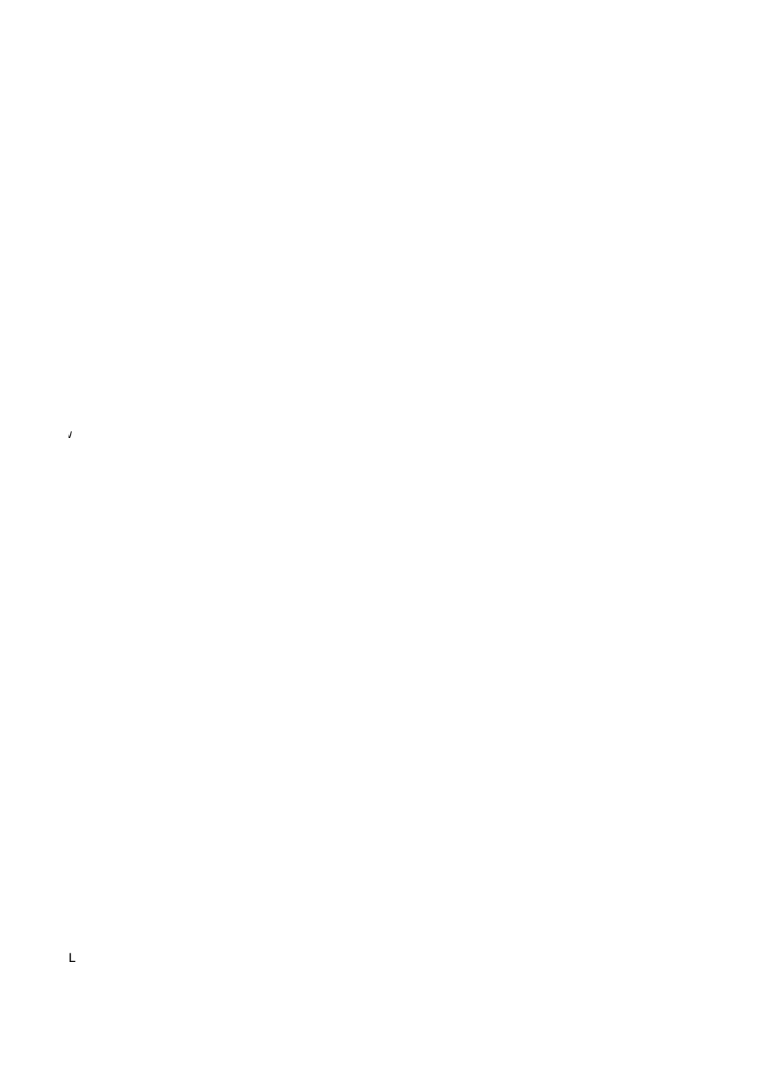$\boldsymbol{J}$ 

 $\mathsf{L}% _{0}\left( \mathsf{L}_{0}\right) ^{\ast}=\mathsf{L}_{0}\left( \mathsf{L}_{0}\right) ^{\ast}$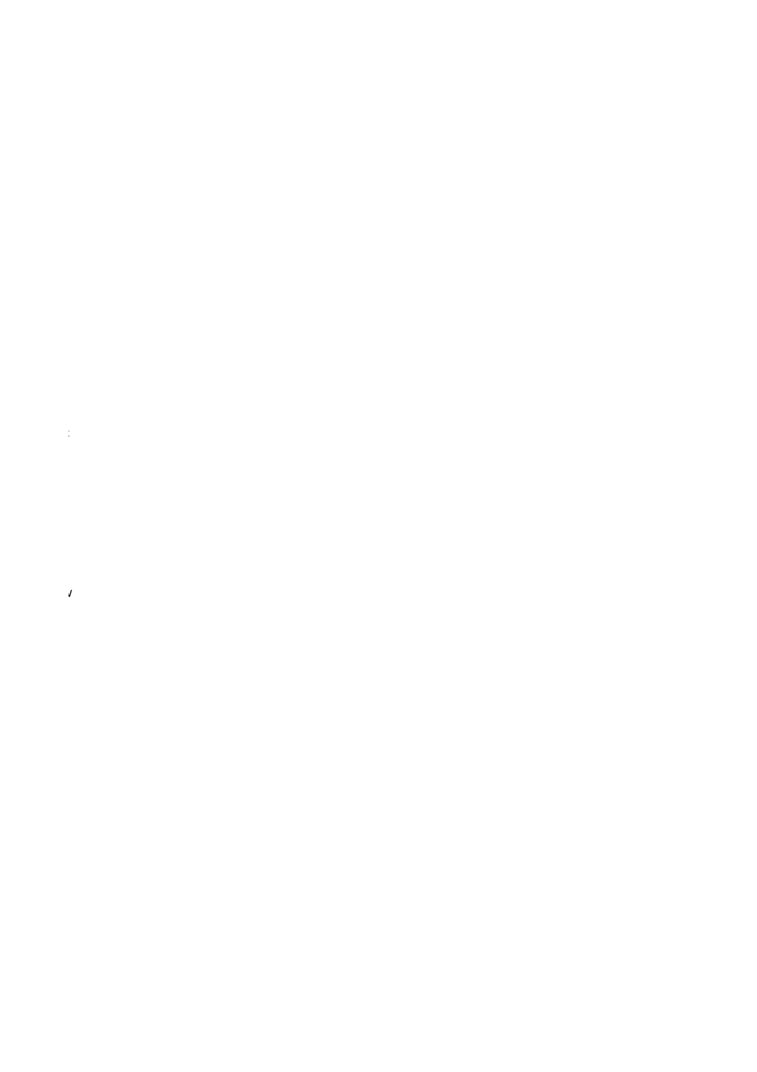$\label{eq:2.1} \mathcal{L}^{\text{max}}_{\text{max}}(\mathcal{L}^{\text{max}}_{\text{max}})$ 

 $\sqrt{2}$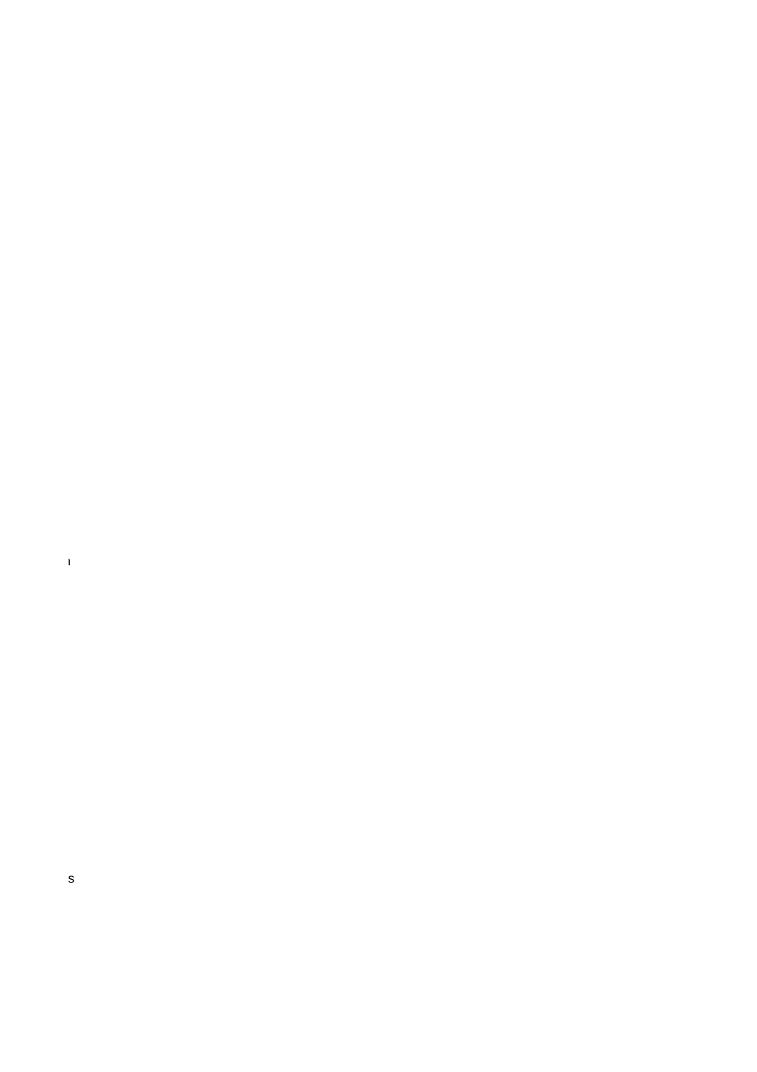## $S_3$  for  $S_3$

Reports on the closure of the Lippitts Hill helicopter facility in London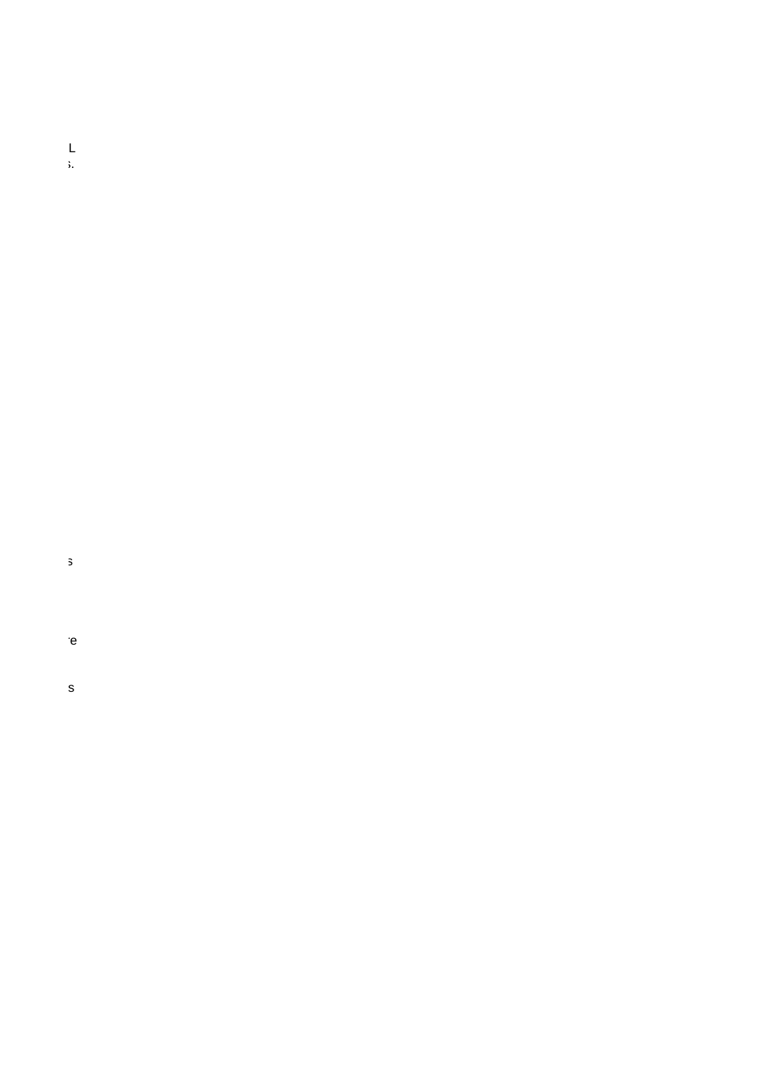$\frac{L}{L}$ 

 $\overline{\mathbf{5}}$ 

 $\cdot e$  $\mathsf{s}$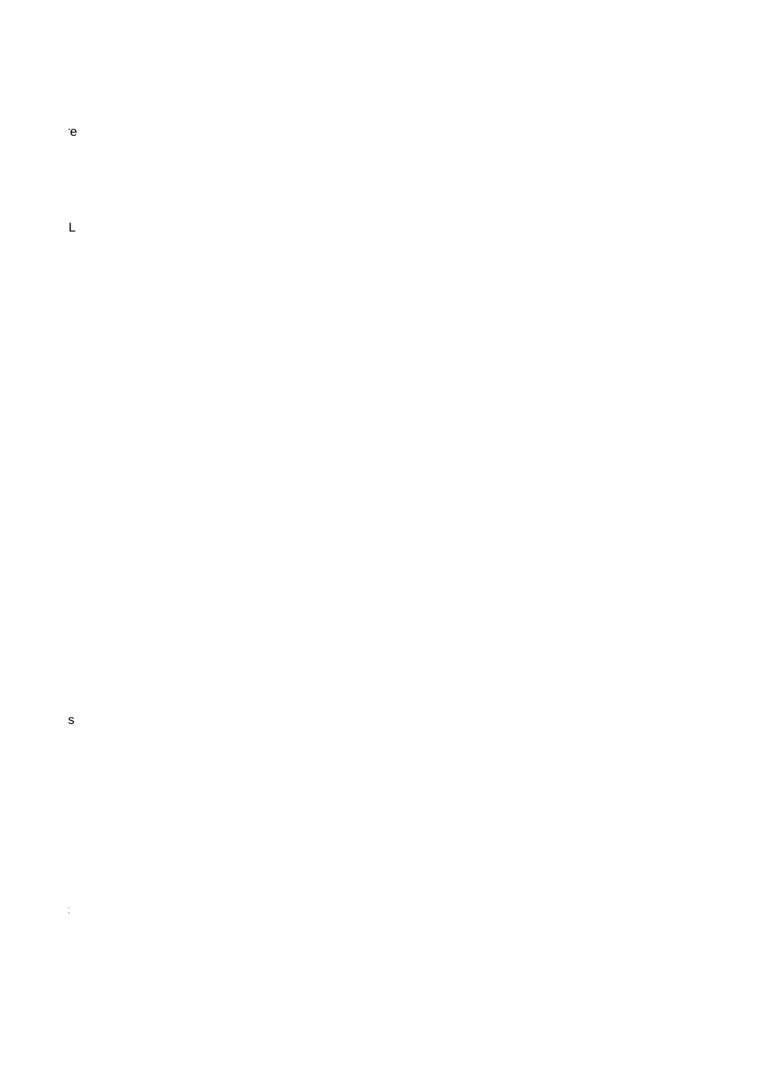$\cdot e$ 

 $\mathsf{L}% _{0}\left( \mathsf{L}_{0}\right) ^{\ast }=\mathsf{L}_{0}\left( \mathsf{L}_{0}\right) ^{\ast }$ 

 $\sf{s}$ 

 $\mathcal{A}^{\text{max}}_{\text{max}}$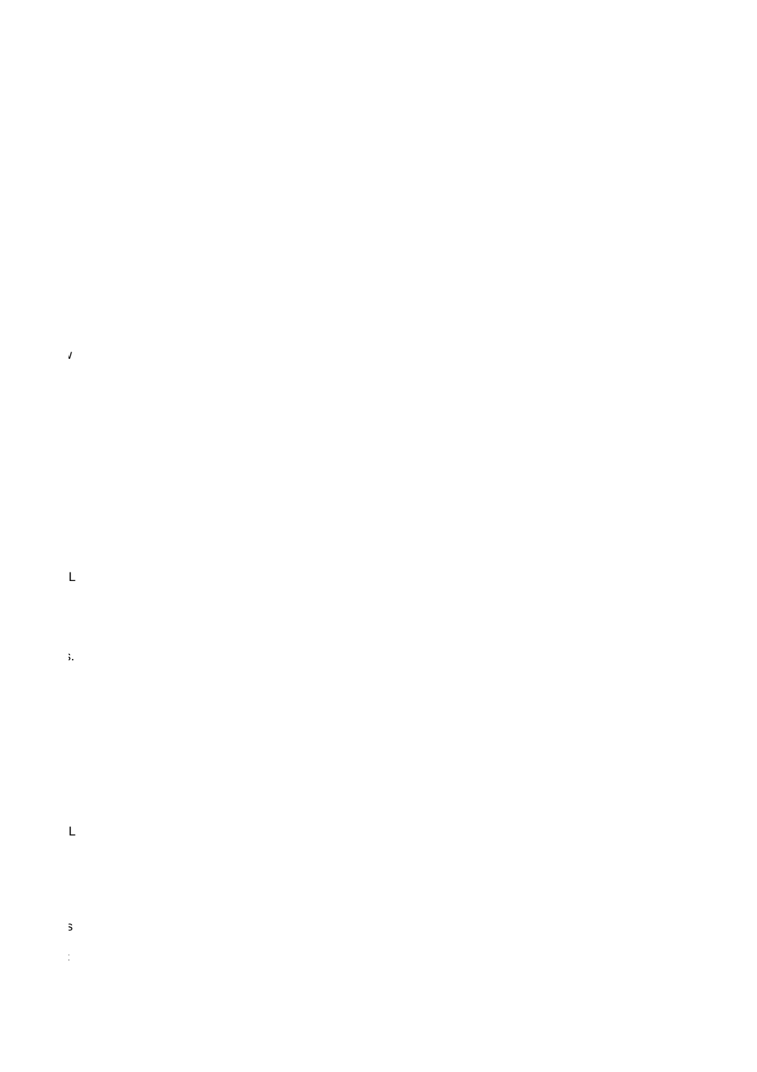$\mathcal{H}$ 

Recent start of a Montreal Urban Community Police air trial with 206L Police assistance to runaway hot air balloon. Round the World flights.

Recent start of a Montreal Urban Community Police air trial with 206L

Proposals that SAR crew be given awards after sea rescue off Wales

Advert for Line Pilot in Flight International to fly BN Islander for RUC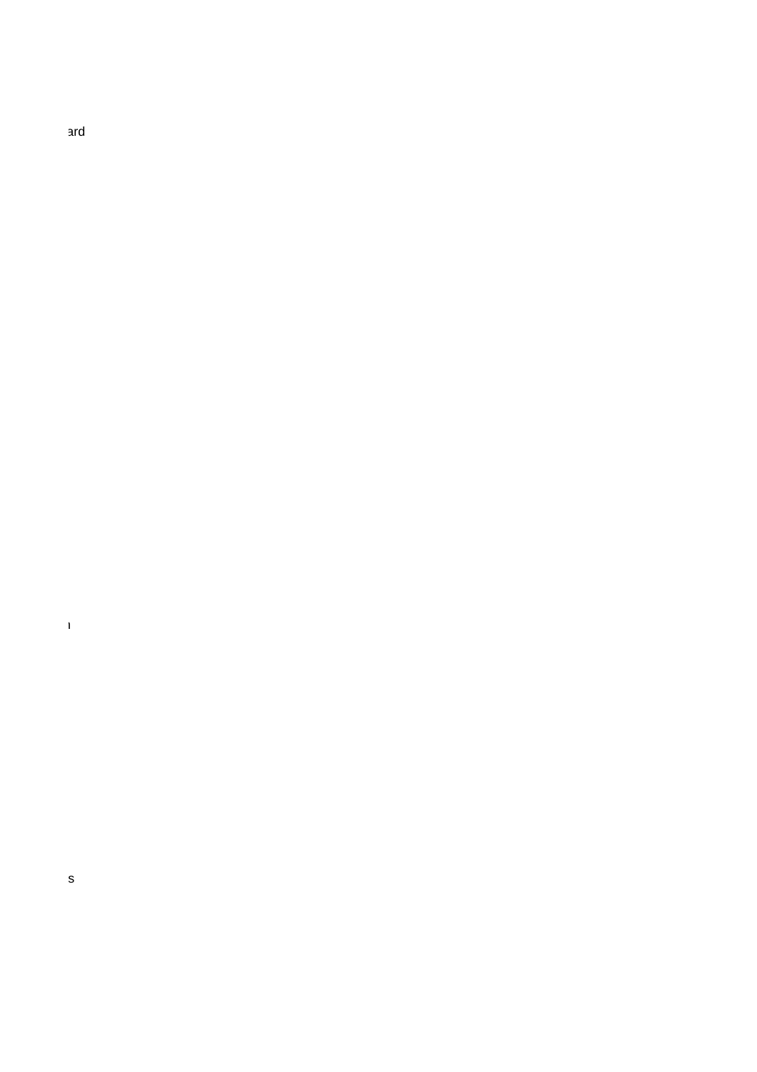Item on the Russian Beriev Be-103 amphibian project for Border Guard

Reports on the closure of the Lippitts Hill helicopter facility in London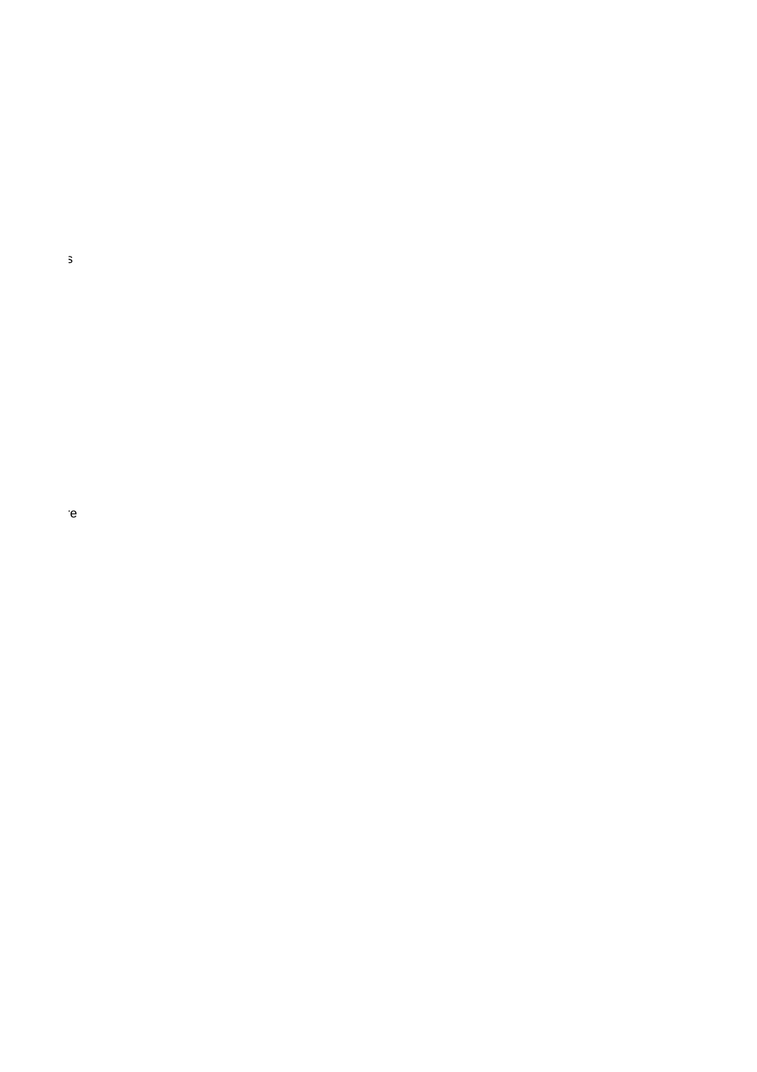$\overline{\mathbf{5}}$ 

 $\ddot{\text{e}}$